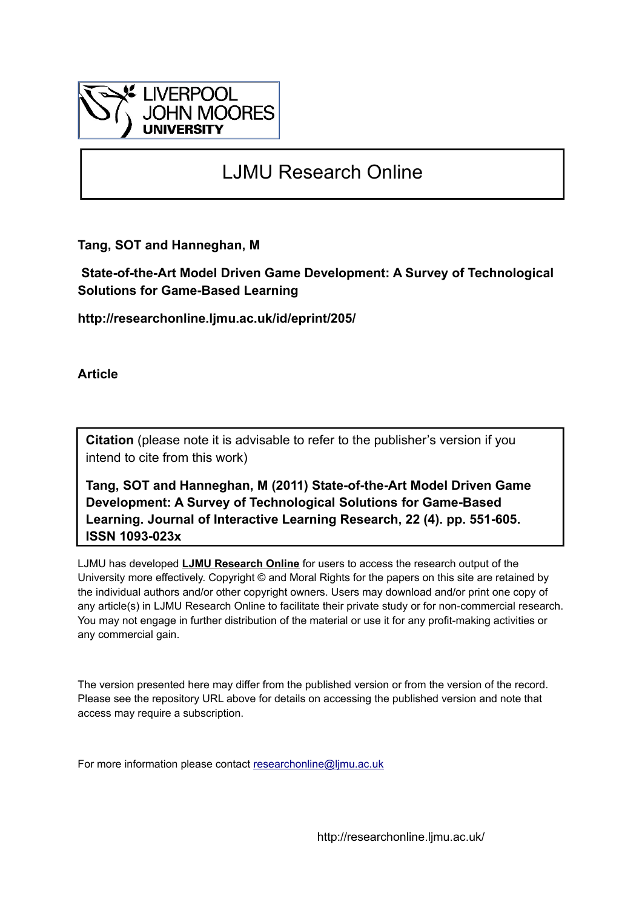

# LJMU Research Online

**Tang, SOT and Hanneghan, M**

 **State-of-the-Art Model Driven Game Development: A Survey of Technological Solutions for Game-Based Learning**

**http://researchonline.ljmu.ac.uk/id/eprint/205/**

**Article**

**Citation** (please note it is advisable to refer to the publisher's version if you intend to cite from this work)

**Tang, SOT and Hanneghan, M (2011) State-of-the-Art Model Driven Game Development: A Survey of Technological Solutions for Game-Based Learning. Journal of Interactive Learning Research, 22 (4). pp. 551-605. ISSN 1093-023x** 

LJMU has developed **[LJMU Research Online](http://researchonline.ljmu.ac.uk/)** for users to access the research output of the University more effectively. Copyright © and Moral Rights for the papers on this site are retained by the individual authors and/or other copyright owners. Users may download and/or print one copy of any article(s) in LJMU Research Online to facilitate their private study or for non-commercial research. You may not engage in further distribution of the material or use it for any profit-making activities or any commercial gain.

The version presented here may differ from the published version or from the version of the record. Please see the repository URL above for details on accessing the published version and note that access may require a subscription.

For more information please contact [researchonline@ljmu.ac.uk](mailto:researchonline@ljmu.ac.uk)

http://researchonline.ljmu.ac.uk/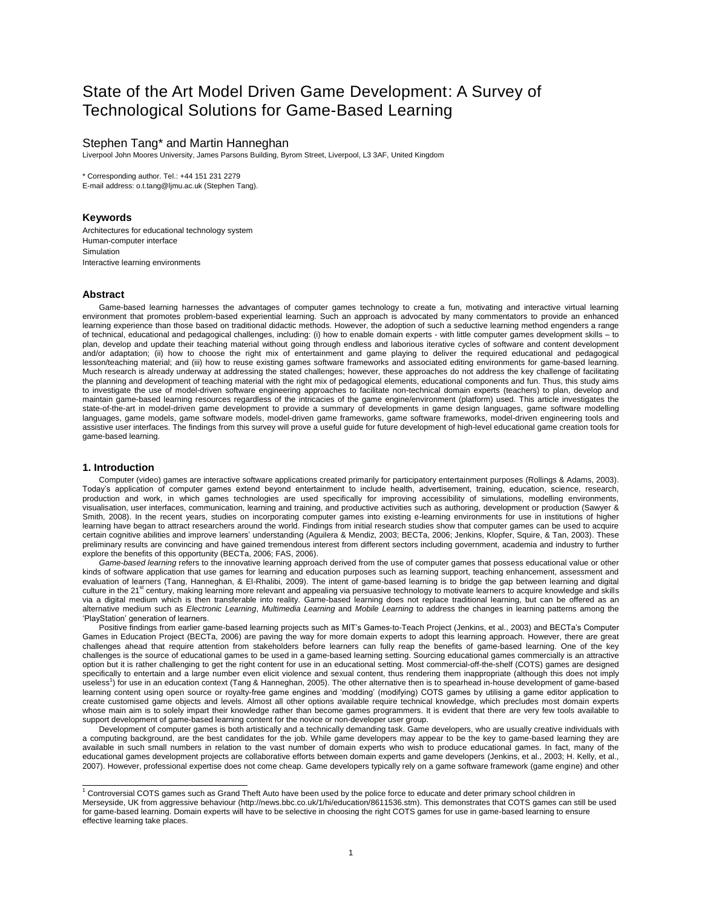# State of the Art Model Driven Game Development: A Survey of Technological Solutions for Game-Based Learning

# Stephen Tang\* and Martin Hanneghan

Liverpool John Moores University, James Parsons Building, Byrom Street, Liverpool, L3 3AF, United Kingdom

\* Corresponding author. Tel.: +44 151 231 2279 E-mail address: o.t.tang@ljmu.ac.uk (Stephen Tang).

# **Keywords**

Architectures for educational technology system Human-computer interface Simulation Interactive learning environments

# **Abstract**

Game-based learning harnesses the advantages of computer games technology to create a fun, motivating and interactive virtual learning environment that promotes problem-based experiential learning. Such an approach is advocated by many commentators to provide an enhanced learning experience than those based on traditional didactic methods. However, the adoption of such a seductive learning method engenders a range of technical, educational and pedagogical challenges, including: (i) how to enable domain experts - with little computer games development skills – to plan, develop and update their teaching material without going through endless and laborious iterative cycles of software and content development and/or adaptation; (ii) how to choose the right mix of entertainment and game playing to deliver the required educational and pedagogical lesson/teaching material; and (iii) how to reuse existing games software frameworks and associated editing environments for game-based learning. Much research is already underway at addressing the stated challenges; however, these approaches do not address the key challenge of facilitating the planning and development of teaching material with the right mix of pedagogical elements, educational components and fun. Thus, this study aims to investigate the use of model-driven software engineering approaches to facilitate non-technical domain experts (teachers) to plan, develop and maintain game-based learning resources regardless of the intricacies of the game engine/environment (platform) used. This article investigates the state-of-the-art in model-driven game development to provide a summary of developments in game design languages, game software modelling languages, game models, game software models, model-driven game frameworks, game software frameworks, model-driven engineering tools and assistive user interfaces. The findings from this survey will prove a useful guide for future development of high-level educational game creation tools for game-based learning.

# **1. Introduction**

Computer (video) games are interactive software applications created primarily for participatory entertainment purposes (Rollings & Adams, 2003). Today"s application of computer games extend beyond entertainment to include health, advertisement, training, education, science, research, production and work, in which games technologies are used specifically for improving accessibility of simulations, modelling environments, visualisation, user interfaces, communication, learning and training, and productive activities such as authoring, development or production (Sawyer & Smith, 2008). In the recent years, studies on incorporating computer games into existing e-learning environments for use in institutions of higher learning have began to attract researchers around the world. Findings from initial research studies show that computer games can be used to acquire certain cognitive abilities and improve learners" understanding (Aguilera & Mendiz, 2003; BECTa, 2006; Jenkins, Klopfer, Squire, & Tan, 2003). These preliminary results are convincing and have gained tremendous interest from different sectors including government, academia and industry to further explore the benefits of this opportunity (BECTa, 2006; FAS, 2006).

*Game-based learning* refers to the innovative learning approach derived from the use of computer games that possess educational value or other kinds of software application that use games for learning and education purposes such as learning support, teaching enhancement, assessment and evaluation of learners (Tang, Hanneghan, & El-Rhalibi, 2009). The intent of game-based learning is to bridge the gap between learning and digital culture in the 21<sup>st</sup> century, making learning more relevant and appealing via persuasive technology to motivate learners to acquire knowledge and skills via a digital medium which is then transferable into reality. Game-based learning does not replace traditional learning, but can be offered as an alternative medium such as *Electronic Learning*, *Multimedia Learning* and *Mobile Learning* to address the changes in learning patterns among the "PlayStation" generation of learners.

Positive findings from earlier game-based learning projects such as MIT"s Games-to-Teach Project (Jenkins, et al., 2003) and BECTa"s Computer Games in Education Project (BECTa, 2006) are paving the way for more domain experts to adopt this learning approach. However, there are great challenges ahead that require attention from stakeholders before learners can fully reap the benefits of game-based learning. One of the key challenges is the source of educational games to be used in a game-based learning setting. Sourcing educational games commercially is an attractive option but it is rather challenging to get the right content for use in an educational setting. Most commercial-off-the-shelf (COTS) games are designed specifically to entertain and a large number even elicit violence and sexual content, thus rendering them inappropriate (although this does not imply useless<sup>1</sup>) for use in an education context (Tang & Hanneghan, 2005). The other alternative then is to spearhead in-house development of game-based learning content using open source or royalty-free game engines and "modding" (modifying) COTS games by utilising a game editor application to create customised game objects and levels. Almost all other options available require technical knowledge, which precludes most domain experts whose main aim is to solely impart their knowledge rather than become games programmers. It is evident that there are very few tools available to support development of game-based learning content for the novice or non-developer user group.

Development of computer games is both artistically and a technically demanding task. Game developers, who are usually creative individuals with a computing background, are the best candidates for the job. While game developers may appear to be the key to game-based learning they are available in such small numbers in relation to the vast number of domain experts who wish to produce educational games. In fact, many of the educational games development projects are collaborative efforts between domain experts and game developers (Jenkins, et al., 2003; H. Kelly, et al., 2007). However, professional expertise does not come cheap. Game developers typically rely on a game software framework (game engine) and other

 $^4$  Controversial COTS games such as Grand Theft Auto have been used by the police force to educate and deter primary school children in Merseyside, UK from aggressive behaviour (http://news.bbc.co.uk/1/hi/education/8611536.stm). This demonstrates that COTS games can still be used for game-based learning. Domain experts will have to be selective in choosing the right COTS games for use in game-based learning to ensure effective learning take places.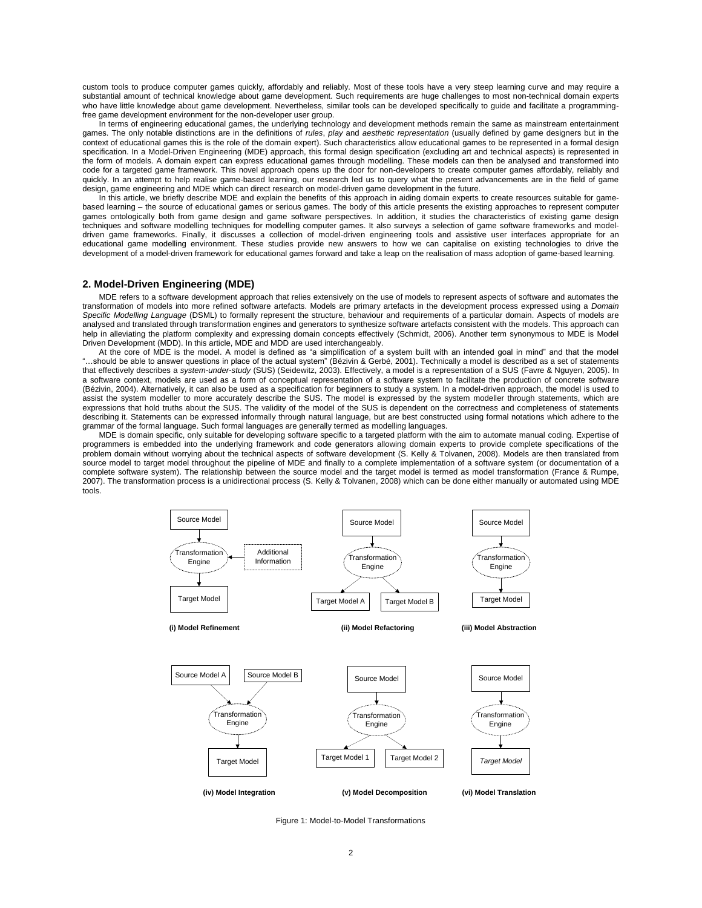custom tools to produce computer games quickly, affordably and reliably. Most of these tools have a very steep learning curve and may require a substantial amount of technical knowledge about game development. Such requirements are huge challenges to most non-technical domain experts who have little knowledge about game development. Nevertheless, similar tools can be developed specifically to guide and facilitate a programmingfree game development environment for the non-developer user group.

In terms of engineering educational games, the underlying technology and development methods remain the same as mainstream entertainment games. The only notable distinctions are in the definitions of *rules*, *play* and *aesthetic representation* (usually defined by game designers but in the context of educational games this is the role of the domain expert). Such characteristics allow educational games to be represented in a formal design specification. In a Model-Driven Engineering (MDE) approach, this formal design specification (excluding art and technical aspects) is represented in the form of models. A domain expert can express educational games through modelling. These models can then be analysed and transformed into code for a targeted game framework. This novel approach opens up the door for non-developers to create computer games affordably, reliably and quickly. In an attempt to help realise game-based learning, our research led us to query what the present advancements are in the field of game design, game engineering and MDE which can direct research on model-driven game development in the future.

In this article, we briefly describe MDE and explain the benefits of this approach in aiding domain experts to create resources suitable for gamebased learning – the source of educational games or serious games. The body of this article presents the existing approaches to represent computer games ontologically both from game design and game software perspectives. In addition, it studies the characteristics of existing game design techniques and software modelling techniques for modelling computer games. It also surveys a selection of game software frameworks and modeldriven game frameworks. Finally, it discusses a collection of model-driven engineering tools and assistive user interfaces appropriate for an educational game modelling environment. These studies provide new answers to how we can capitalise on existing technologies to drive the development of a model-driven framework for educational games forward and take a leap on the realisation of mass adoption of game-based learning.

# **2. Model-Driven Engineering (MDE)**

MDE refers to a software development approach that relies extensively on the use of models to represent aspects of software and automates the transformation of models into more refined software artefacts. Models are primary artefacts in the development process expressed using a *Domain Specific Modelling Language* (DSML) to formally represent the structure, behaviour and requirements of a particular domain. Aspects of models are analysed and translated through transformation engines and generators to synthesize software artefacts consistent with the models. This approach can help in alleviating the platform complexity and expressing domain concepts effectively (Schmidt, 2006). Another term synonymous to MDE is Model Driven Development (MDD). In this article, MDE and MDD are used interchangeably.

At the core of MDE is the model. A model is defined as "a simplification of a system built with an intended goal in mind" and that the model "…should be able to answer questions in place of the actual system" (Bézivin & Gerbé, 2001). Technically a model is described as a set of statements that effectively describes a *system-under-study* (SUS) (Seidewitz, 2003). Effectively, a model is a representation of a SUS (Favre & Nguyen, 2005). In a software context, models are used as a form of conceptual representation of a software system to facilitate the production of concrete software (Bézivin, 2004). Alternatively, it can also be used as a specification for beginners to study a system. In a model-driven approach, the model is used to assist the system modeller to more accurately describe the SUS. The model is expressed by the system modeller through statements, which are expressions that hold truths about the SUS. The validity of the model of the SUS is dependent on the correctness and completeness of statements describing it. Statements can be expressed informally through natural language, but are best constructed using formal notations which adhere to the grammar of the formal language. Such formal languages are generally termed as modelling languages.

MDE is domain specific, only suitable for developing software specific to a targeted platform with the aim to automate manual coding. Expertise of programmers is embedded into the underlying framework and code generators allowing domain experts to provide complete specifications of the problem domain without worrying about the technical aspects of software development (S. Kelly & Tolvanen, 2008). Models are then translated from source model to target model throughout the pipeline of MDE and finally to a complete implementation of a software system (or documentation of a complete software system). The relationship between the source model and the target model is termed as model transformation (France & Rumpe, 2007). The transformation process is a unidirectional process (S. Kelly & Tolvanen, 2008) which can be done either manually or automated using MDE tools.



Figure 1: Model-to-Model Transformations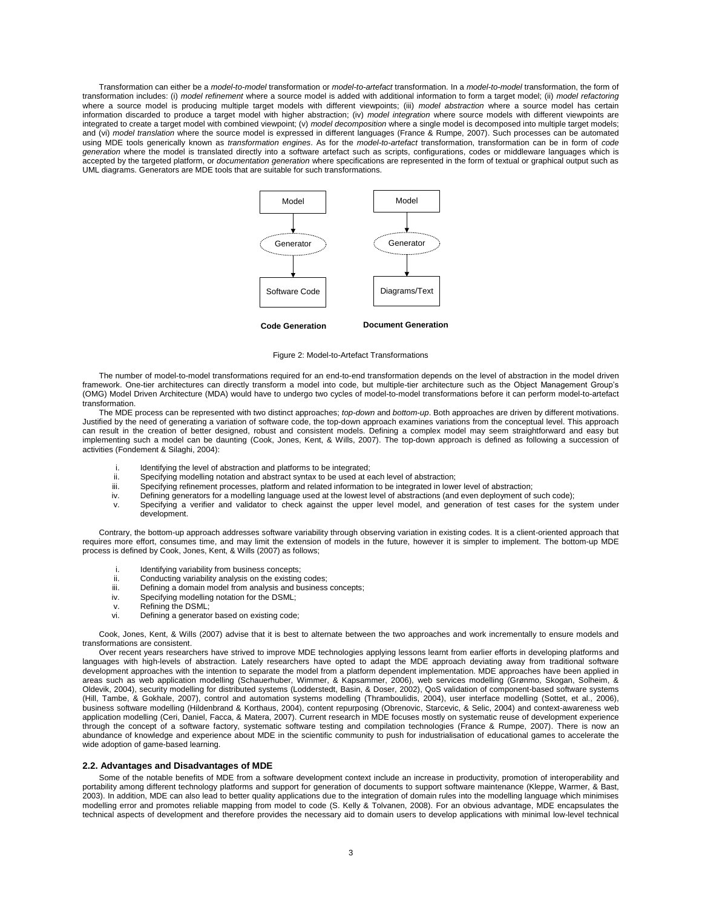Transformation can either be a *model-to-model* transformation or *model-to-artefact* transformation. In a *model-to-model* transformation, the form of transformation includes: (i) *model refinement* where a source model is added with additional information to form a target model; (ii) *model refactoring* where a source model is producing multiple target models with different viewpoints; (iii) *model abstraction* where a source model has certain information discarded to produce a target model with higher abstraction; (iv) *model integration* where source models with different viewpoints are integrated to create a target model with combined viewpoint; (v) *model decomposition* where a single model is decomposed into multiple target models; and (vi) *model translation* where the source model is expressed in different languages (France & Rumpe, 2007). Such processes can be automated using MDE tools generically known as *transformation engines*. As for the *model-to-artefact* transformation, transformation can be in form of *code generation* where the model is translated directly into a software artefact such as scripts, configurations, codes or middleware languages which is accepted by the targeted platform, or *documentation generation* where specifications are represented in the form of textual or graphical output such as UML diagrams. Generators are MDE tools that are suitable for such transformations.



**Code Generation Document Generation**



The number of model-to-model transformations required for an end-to-end transformation depends on the level of abstraction in the model driven framework. One-tier architectures can directly transform a model into code, but multiple-tier architecture such as the Object Management Group's (OMG) Model Driven Architecture (MDA) would have to undergo two cycles of model-to-model transformations before it can perform model-to-artefact transformation.

The MDE process can be represented with two distinct approaches; *top-down* and *bottom-up*. Both approaches are driven by different motivations. Justified by the need of generating a variation of software code, the top-down approach examines variations from the conceptual level. This approach can result in the creation of better designed, robust and consistent models. Defining a complex model may seem straightforward and easy but implementing such a model can be daunting (Cook, Jones, Kent, & Wills, 2007). The top-down approach is defined as following a succession of activities (Fondement & Silaghi, 2004):

- i. Identifying the level of abstraction and platforms to be integrated;<br>ii Specifying modelling notation and abstract syntax to be used at each
- Specifying modelling notation and abstract syntax to be used at each level of abstraction;
- iii. Specifying refinement processes, platform and related information to be integrated in lower level of abstraction;
- iv. Defining generators for a modelling language used at the lowest level of abstractions (and even deployment of such code);
- v. Specifying a verifier and validator to check against the upper level model, and generation of test cases for the system under development.

Contrary, the bottom-up approach addresses software variability through observing variation in existing codes. It is a client-oriented approach that requires more effort, consumes time, and may limit the extension of models in the future, however it is simpler to implement. The bottom-up MDE process is defined by Cook, Jones, Kent, & Wills (2007) as follows;

- 
- i. Identifying variability from business concepts;<br>ii. Conducting variability analysis on the existing
- ii. Conducting variability analysis on the existing codes;<br>iii. Defining a domain model from analysis and business Defining a domain model from analysis and business concepts;
- iv. Specifying modelling notation for the DSML;
- v. Refining the DSML;<br>vi. Defining a generato
- Defining a generator based on existing code:

Cook, Jones, Kent, & Wills (2007) advise that it is best to alternate between the two approaches and work incrementally to ensure models and transformations are consistent.

Over recent years researchers have strived to improve MDE technologies applying lessons learnt from earlier efforts in developing platforms and languages with high-levels of abstraction. Lately researchers have opted to adapt the MDE approach deviating away from traditional software development approaches with the intention to separate the model from a platform dependent implementation. MDE approaches have been applied in areas such as web application modelling (Schauerhuber, Wimmer, & Kapsammer, 2006), web services modelling (Grønmo, Skogan, Solheim, & Oldevik, 2004), security modelling for distributed systems (Lodderstedt, Basin, & Doser, 2002), QoS validation of component-based software systems (Hill, Tambe, & Gokhale, 2007), control and automation systems modelling (Thramboulidis, 2004), user interface modelling (Sottet, et al., 2006), business software modelling (Hildenbrand & Korthaus, 2004), content repurposing (Obrenovic, Starcevic, & Selic, 2004) and context-awareness web application modelling (Ceri, Daniel, Facca, & Matera, 2007). Current research in MDE focuses mostly on systematic reuse of development experience through the concept of a software factory, systematic software testing and compilation technologies (France & Rumpe, 2007). There is now an abundance of knowledge and experience about MDE in the scientific community to push for industrialisation of educational games to accelerate the wide adoption of game-based learning.

#### **2.2. Advantages and Disadvantages of MDE**

Some of the notable benefits of MDE from a software development context include an increase in productivity, promotion of interoperability and portability among different technology platforms and support for generation of documents to support software maintenance (Kleppe, Warmer, & Bast, 2003). In addition, MDE can also lead to better quality applications due to the integration of domain rules into the modelling language which minimises modelling error and promotes reliable mapping from model to code (S. Kelly & Tolvanen, 2008). For an obvious advantage, MDE encapsulates the technical aspects of development and therefore provides the necessary aid to domain users to develop applications with minimal low-level technical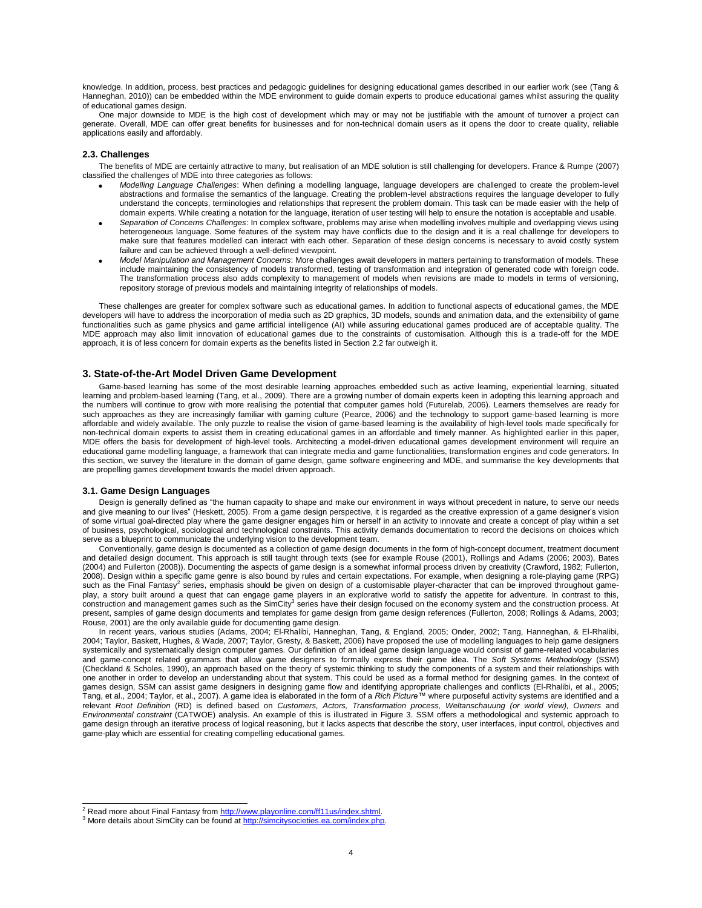knowledge. In addition, process, best practices and pedagogic guidelines for designing educational games described in our earlier work (see (Tang & Hanneghan, 2010)) can be embedded within the MDE environment to guide domain experts to produce educational games whilst assuring the quality of educational games design.

One major downside to MDE is the high cost of development which may or may not be justifiable with the amount of turnover a project can generate. Overall, MDE can offer great benefits for businesses and for non-technical domain users as it opens the door to create quality, reliable applications easily and affordably.

#### **2.3. Challenges**

The benefits of MDE are certainly attractive to many, but realisation of an MDE solution is still challenging for developers. France & Rumpe (2007) classified the challenges of MDE into three categories as follows:

- *Modelling Language Challenges*: When defining a modelling language, language developers are challenged to create the problem-level abstractions and formalise the semantics of the language. Creating the problem-level abstractions requires the language developer to fully understand the concepts, terminologies and relationships that represent the problem domain. This task can be made easier with the help of domain experts. While creating a notation for the language, iteration of user testing will help to ensure the notation is acceptable and usable.
- *Separation of Concerns Challenges*: In complex software, problems may arise when modelling involves multiple and overlapping views using heterogeneous language. Some features of the system may have conflicts due to the design and it is a real challenge for developers to make sure that features modelled can interact with each other. Separation of these design concerns is necessary to avoid costly system failure and can be achieved through a well-defined viewpoint.
- *Model Manipulation and Management Concerns*: More challenges await developers in matters pertaining to transformation of models. These include maintaining the consistency of models transformed, testing of transformation and integration of generated code with foreign code. The transformation process also adds complexity to management of models when revisions are made to models in terms of versioning, repository storage of previous models and maintaining integrity of relationships of models.

These challenges are greater for complex software such as educational games. In addition to functional aspects of educational games, the MDE developers will have to address the incorporation of media such as 2D graphics, 3D models, sounds and animation data, and the extensibility of game functionalities such as game physics and game artificial intelligence (AI) while assuring educational games produced are of acceptable quality. The MDE approach may also limit innovation of educational games due to the constraints of customisation. Although this is a trade-off for the MDE approach, it is of less concern for domain experts as the benefits listed in Section 2.2 far outweigh it.

# **3. State-of-the-Art Model Driven Game Development**

Game-based learning has some of the most desirable learning approaches embedded such as active learning, experiential learning, situated learning and problem-based learning (Tang, et al., 2009). There are a growing number of domain experts keen in adopting this learning approach and the numbers will continue to grow with more realising the potential that computer games hold (Futurelab, 2006). Learners themselves are ready for such approaches as they are increasingly familiar with gaming culture (Pearce, 2006) and the technology to support game-based learning is more affordable and widely available. The only puzzle to realise the vision of game-based learning is the availability of high-level tools made specifically for non-technical domain experts to assist them in creating educational games in an affordable and timely manner. As highlighted earlier in this paper, MDE offers the basis for development of high-level tools. Architecting a model-driven educational games development environment will require an educational game modelling language, a framework that can integrate media and game functionalities, transformation engines and code generators. In this section, we survey the literature in the domain of game design, game software engineering and MDE, and summarise the key developments that are propelling games development towards the model driven approach.

# **3.1. Game Design Languages**

Design is generally defined as "the human capacity to shape and make our environment in ways without precedent in nature, to serve our needs and give meaning to our lives" (Heskett, 2005). From a game design perspective, it is regarded as the creative expression of a game designer"s vision of some virtual goal-directed play where the game designer engages him or herself in an activity to innovate and create a concept of play within a set of business, psychological, sociological and technological constraints. This activity demands documentation to record the decisions on choices which serve as a blueprint to communicate the underlying vision to the development team.

Conventionally, game design is documented as a collection of game design documents in the form of high-concept document, treatment document and detailed design document. This approach is still taught through texts (see for example Rouse (2001), Rollings and Adams (2006; 2003), Bates (2004) and Fullerton (2008)). Documenting the aspects of game design is a somewhat informal process driven by creativity (Crawford, 1982; Fullerton, 2008). Design within a specific game genre is also bound by rules and certain expectations. For example, when designing a role-playing game (RPG) such as the Final Fantasy<sup>2</sup> series, emphasis should be given on design of a customisable player-character that can be improved throughout gameplay, a story built around a quest that can engage game players in an explorative world to satisfy the appetite for adventure. In contrast to this,<br>construction and management games such as the SimCity<sup>3</sup> series have their present, samples of game design documents and templates for game design from game design references (Fullerton, 2008; Rollings & Adams, 2003; Rouse, 2001) are the only available guide for documenting game design.

In recent years, various studies (Adams, 2004; El-Rhalibi, Hanneghan, Tang, & England, 2005; Onder, 2002; Tang, Hanneghan, & El-Rhalibi, 2004; Taylor, Baskett, Hughes, & Wade, 2007; Taylor, Gresty, & Baskett, 2006) have proposed the use of modelling languages to help game designers systemically and systematically design computer games. Our definition of an ideal game design language would consist of game-related vocabularies and game-concept related grammars that allow game designers to formally express their game idea. The *Soft Systems Methodology* (SSM) (Checkland & Scholes, 1990), an approach based on the theory of systemic thinking to study the components of a system and their relationships with one another in order to develop an understanding about that system. This could be used as a formal method for designing games. In the context of games design, SSM can assist game designers in designing game flow and identifying appropriate challenges and conflicts (El-Rhalibi, et al., 2005; Tang, et al., 2004; Taylor, et al., 2007). A game idea is elaborated in the form of a *Rich Picture™* where purposeful activity systems are identified and a relevant *Root Definition* (RD) is defined based on *Customers, Actors, Transformation process, Weltanschauung (or world view), Owners* and *Environmental constraint* (CATWOE) analysis. An example of this is illustrated in Figure 3. SSM offers a methodological and systemic approach to game design through an iterative process of logical reasoning, but it lacks aspects that describe the story, user interfaces, input control, objectives and game-play which are essential for creating compelling educational games.

<sup>2&</sup>lt;br><sup>2</sup> Read more about Final Fantasy fro[m http://www.playonline.com/ff11us/index.shtml.](http://www.playonline.com/ff11us/index.shtml)

<sup>3</sup> More details about SimCity can be found a[t http://simcitysocieties.ea.com/index.php.](http://simcitysocieties.ea.com/index.php)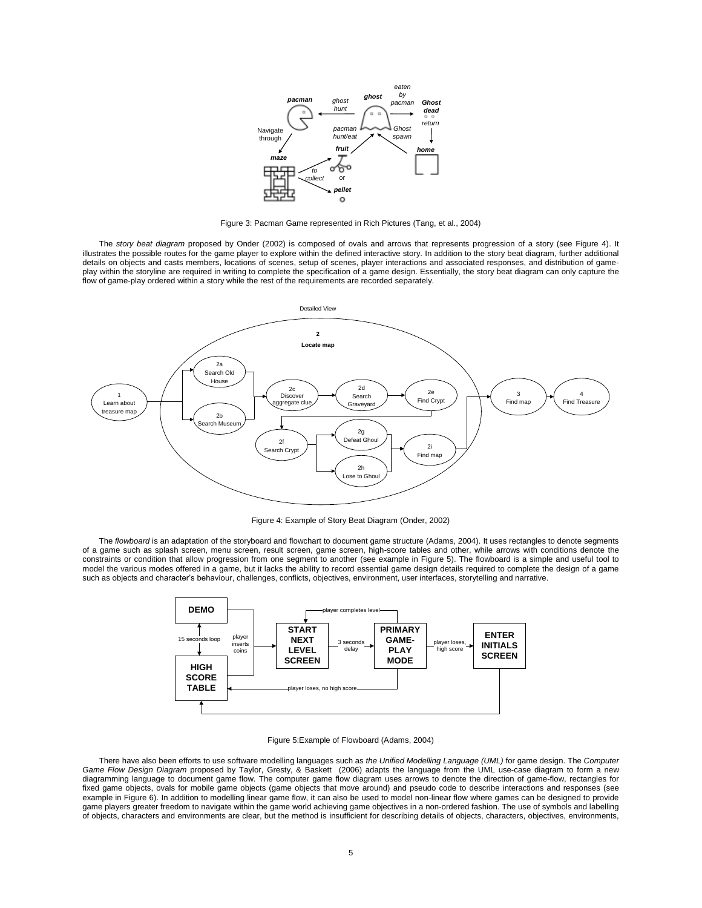

Figure 3: Pacman Game represented in Rich Pictures (Tang, et al., 2004)

The *story beat diagram* proposed by Onder (2002) is composed of ovals and arrows that represents progression of a story (see Figure 4). It illustrates the possible routes for the game player to explore within the defined interactive story. In addition to the story beat diagram, further additional details on objects and casts members, locations of scenes, setup of scenes, player interactions and associated responses, and distribution of gameplay within the storyline are required in writing to complete the specification of a game design. Essentially, the story beat diagram can only capture the flow of game-play ordered within a story while the rest of the requirements are recorded separately.



Figure 4: Example of Story Beat Diagram (Onder, 2002)

The *flowboard* is an adaptation of the storyboard and flowchart to document game structure (Adams, 2004). It uses rectangles to denote segments of a game such as splash screen, menu screen, result screen, game screen, high-score tables and other, while arrows with conditions denote the constraints or condition that allow progression from one segment to another (see example in Figure 5). The flowboard is a simple and useful tool to model the various modes offered in a game, but it lacks the ability to record essential game design details required to complete the design of a game such as objects and character"s behaviour, challenges, conflicts, objectives, environment, user interfaces, storytelling and narrative.



#### Figure 5:Example of Flowboard (Adams, 2004)

There have also been efforts to use software modelling languages such as *the Unified Modelling Language (UML)* for game design. The *Computer Game Flow Design Diagram* proposed by Taylor, Gresty, & Baskett (2006) adapts the language from the UML use-case diagram to form a new diagramming language to document game flow. The computer game flow diagram uses arrows to denote the direction of game-flow, rectangles for fixed game objects, ovals for mobile game objects (game objects that move around) and pseudo code to describe interactions and responses (see example in Figure 6). In addition to modelling linear game flow, it can also be used to model non-linear flow where games can be designed to provide game players greater freedom to navigate within the game world achieving game objectives in a non-ordered fashion. The use of symbols and labelling of objects, characters and environments are clear, but the method is insufficient for describing details of objects, characters, objectives, environments,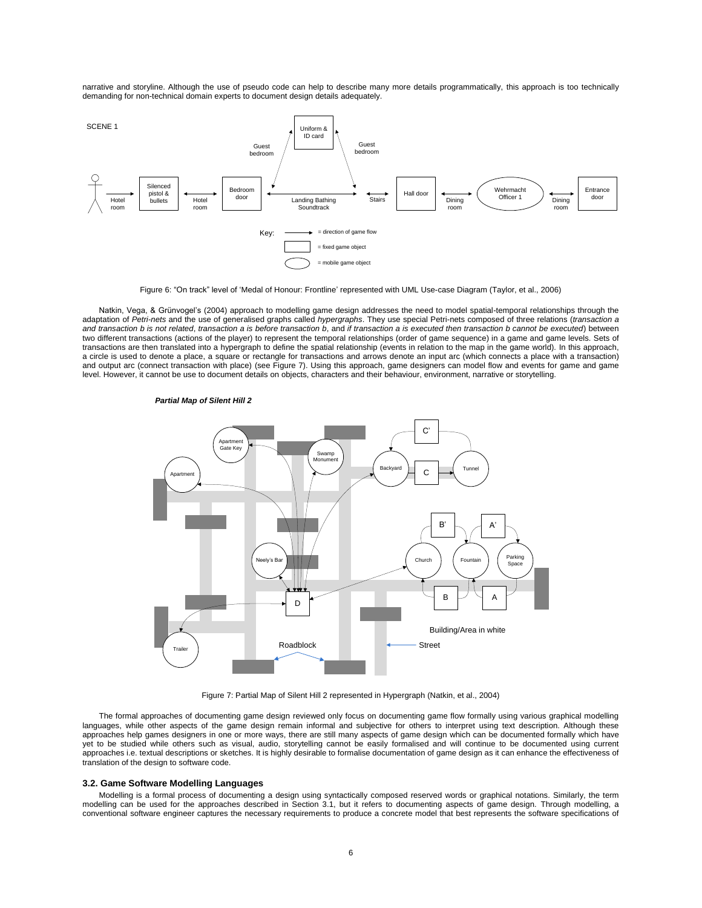narrative and storyline. Although the use of pseudo code can help to describe many more details programmatically, this approach is too technically demanding for non-technical domain experts to document design details adequately.



Figure 6: "On track" level of "Medal of Honour: Frontline" represented with UML Use-case Diagram (Taylor, et al., 2006)

Natkin, Vega, & Grünvogel"s (2004) approach to modelling game design addresses the need to model spatial-temporal relationships through the adaptation of *Petri*-*nets* and the use of generalised graphs called *hypergraphs*. They use special Petri-nets composed of three relations (*transaction a and transaction b is not related*, *transaction a is before transaction b*, and *if transaction a is executed then transaction b cannot be executed*) between two different transactions (actions of the player) to represent the temporal relationships (order of game sequence) in a game and game levels. Sets of transactions are then translated into a hypergraph to define the spatial relationship (events in relation to the map in the game world)*.* In this approach, a circle is used to denote a place, a square or rectangle for transactions and arrows denote an input arc (which connects a place with a transaction) and output arc (connect transaction with place) (see Figure 7). Using this approach, game designers can model flow and events for game and game level. However, it cannot be use to document details on objects, characters and their behaviour, environment, narrative or storytelling.

#### *Partial Map of Silent Hill 2*



Figure 7: Partial Map of Silent Hill 2 represented in Hypergraph (Natkin, et al., 2004)

The formal approaches of documenting game design reviewed only focus on documenting game flow formally using various graphical modelling languages, while other aspects of the game design remain informal and subjective for others to interpret using text description. Although these approaches help games designers in one or more ways, there are still many aspects of game design which can be documented formally which have yet to be studied while others such as visual, audio, storytelling cannot be easily formalised and will continue to be documented using current approaches i.e. textual descriptions or sketches. It is highly desirable to formalise documentation of game design as it can enhance the effectiveness of translation of the design to software code.

## **3.2. Game Software Modelling Languages**

Modelling is a formal process of documenting a design using syntactically composed reserved words or graphical notations. Similarly, the term modelling can be used for the approaches described in Section 3.1, but it refers to documenting aspects of game design. Through modelling, a conventional software engineer captures the necessary requirements to produce a concrete model that best represents the software specifications of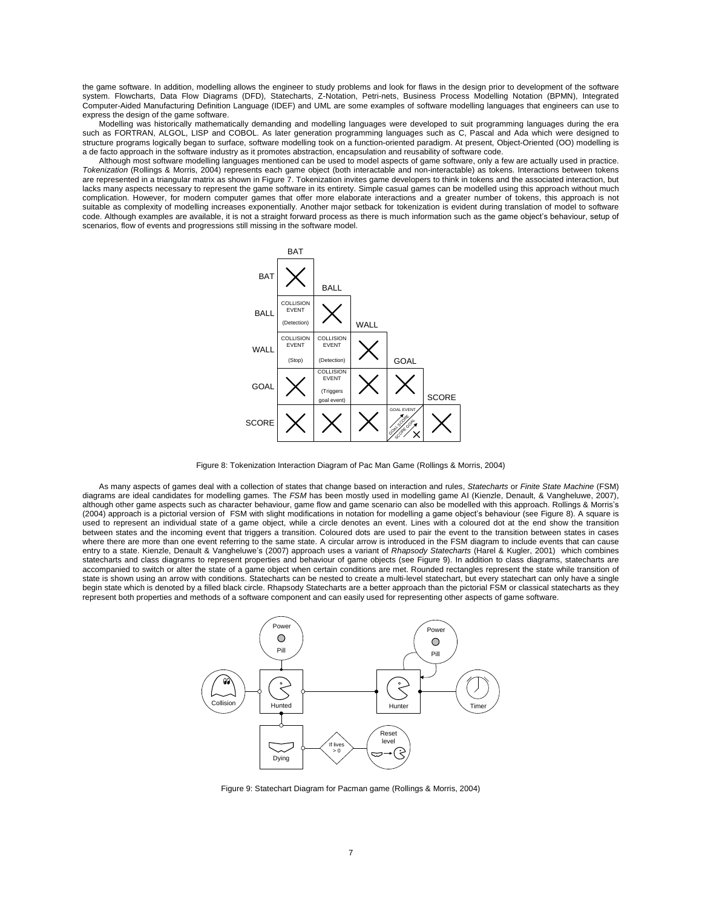the game software. In addition, modelling allows the engineer to study problems and look for flaws in the design prior to development of the software system. Flowcharts, Data Flow Diagrams (DFD), Statecharts, Z-Notation, Petri-nets, Business Process Modelling Notation (BPMN), Integrated Computer-Aided Manufacturing Definition Language (IDEF) and UML are some examples of software modelling languages that engineers can use to express the design of the game software.

Modelling was historically mathematically demanding and modelling languages were developed to suit programming languages during the era such as FORTRAN, ALGOL, LISP and COBOL. As later generation programming languages such as C, Pascal and Ada which were designed to structure programs logically began to surface, software modelling took on a function-oriented paradigm. At present, Object-Oriented (OO) modelling is a de facto approach in the software industry as it promotes abstraction, encapsulation and reusability of software code.

Although most software modelling languages mentioned can be used to model aspects of game software, only a few are actually used in practice. *Tokenization* (Rollings & Morris, 2004) represents each game object (both interactable and non-interactable) as tokens. Interactions between tokens are represented in a triangular matrix as shown in Figure 7. Tokenization invites game developers to think in tokens and the associated interaction, but lacks many aspects necessary to represent the game software in its entirety. Simple casual games can be modelled using this approach without much complication. However, for modern computer games that offer more elaborate interactions and a greater number of tokens, this approach is not suitable as complexity of modelling increases exponentially. Another major setback for tokenization is evident during translation of model to software code. Although examples are available, it is not a straight forward process as there is much information such as the game object"s behaviour, setup of scenarios, flow of events and progressions still missing in the software model.



Figure 8: Tokenization Interaction Diagram of Pac Man Game (Rollings & Morris, 2004)

As many aspects of games deal with a collection of states that change based on interaction and rules, *Statecharts* or *Finite State Machine* (FSM) diagrams are ideal candidates for modelling games. The *FSM* has been mostly used in modelling game AI (Kienzle, Denault, & Vangheluwe, 2007), although other game aspects such as character behaviour, game flow and game scenario can also be modelled with this approach. Rollings & Morris"s (2004) approach is a pictorial version of FSM with slight modifications in notation for modelling a game object"s behaviour (see Figure 8). A square is used to represent an individual state of a game object, while a circle denotes an event. Lines with a coloured dot at the end show the transition between states and the incoming event that triggers a transition. Coloured dots are used to pair the event to the transition between states in cases where there are more than one event referring to the same state. A circular arrow is introduced in the FSM diagram to include events that can cause entry to a state. Kienzle, Denault & Vangheluwe's (2007) approach uses a variant of *Rhapsody Statecharts* (Harel & Kugler, 2001) which combines statecharts and class diagrams to represent properties and behaviour of game objects (see Figure 9). In addition to class diagrams, statecharts are accompanied to switch or alter the state of a game object when certain conditions are met. Rounded rectangles represent the state while transition of state is shown using an arrow with conditions. Statecharts can be nested to create a multi-level statechart, but every statechart can only have a single begin state which is denoted by a filled black circle. Rhapsody Statecharts are a better approach than the pictorial FSM or classical statecharts as they represent both properties and methods of a software component and can easily used for representing other aspects of game software.



Figure 9: Statechart Diagram for Pacman game (Rollings & Morris, 2004)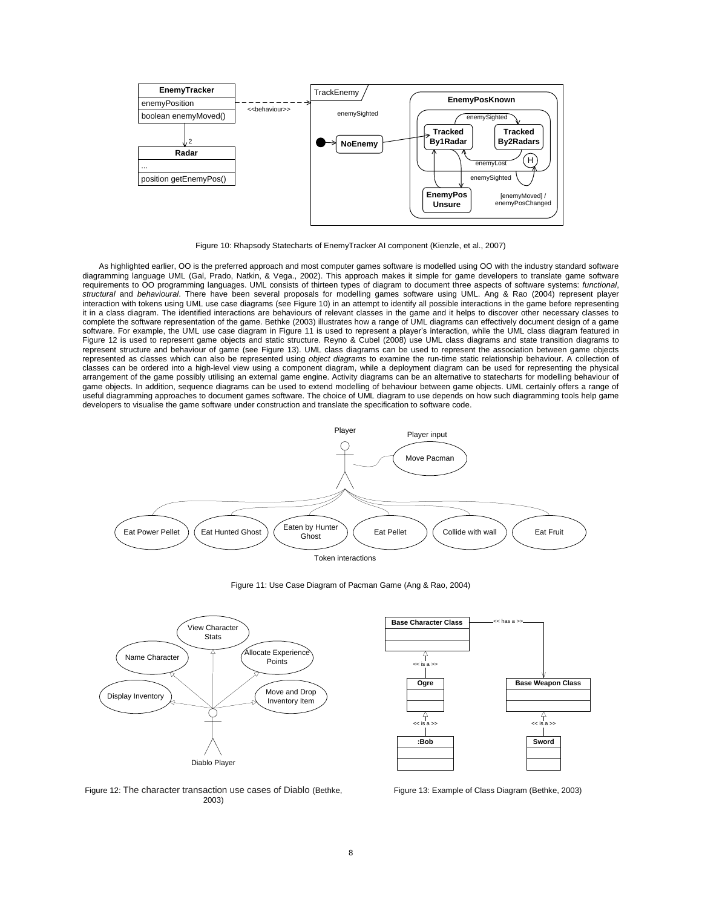

Figure 10: Rhapsody Statecharts of EnemyTracker AI component (Kienzle, et al., 2007)

As highlighted earlier, OO is the preferred approach and most computer games software is modelled using OO with the industry standard software diagramming language UML (Gal, Prado, Natkin, & Vega., 2002). This approach makes it simple for game developers to translate game software requirements to OO programming languages. UML consists of thirteen types of diagram to document three aspects of software systems: *functional*, *structural* and *behavioural*. There have been several proposals for modelling games software using UML. Ang & Rao (2004) represent player interaction with tokens using UML use case diagrams (see Figure 10) in an attempt to identify all possible interactions in the game before representing it in a class diagram. The identified interactions are behaviours of relevant classes in the game and it helps to discover other necessary classes to complete the software representation of the game. Bethke (2003) illustrates how a range of UML diagrams can effectively document design of a game software. For example, the UML use case diagram in Figure 11 is used to represent a player"s interaction, while the UML class diagram featured in Figure 12 is used to represent game objects and static structure. Reyno & Cubel (2008) use UML class diagrams and state transition diagrams to represent structure and behaviour of game (see Figure 13). UML class diagrams can be used to represent the association between game objects represented as classes which can also be represented using *object diagrams* to examine the run-time static relationship behaviour. A collection of classes can be ordered into a high-level view using a component diagram, while a deployment diagram can be used for representing the physical arrangement of the game possibly utilising an external game engine. Activity diagrams can be an alternative to statecharts for modelling behaviour of game objects. In addition, sequence diagrams can be used to extend modelling of behaviour between game objects. UML certainly offers a range of useful diagramming approaches to document games software. The choice of UML diagram to use depends on how such diagramming tools help game developers to visualise the game software under construction and translate the specification to software code.



Figure 11: Use Case Diagram of Pacman Game (Ang & Rao, 2004)





Figure 12: The character transaction use cases of Diablo (Bethke, 2003)

Figure 13: Example of Class Diagram (Bethke, 2003)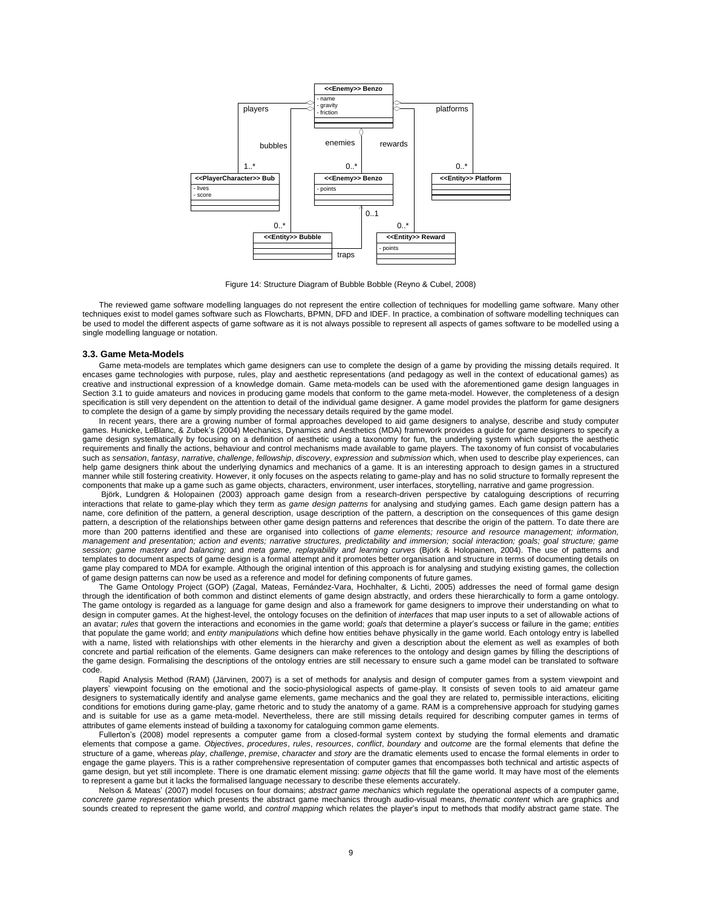

Figure 14: Structure Diagram of Bubble Bobble (Reyno & Cubel, 2008)

The reviewed game software modelling languages do not represent the entire collection of techniques for modelling game software. Many other techniques exist to model games software such as Flowcharts, BPMN, DFD and IDEF. In practice, a combination of software modelling techniques can be used to model the different aspects of game software as it is not always possible to represent all aspects of games software to be modelled using a single modelling language or notation.

#### **3.3. Game Meta-Models**

Game meta-models are templates which game designers can use to complete the design of a game by providing the missing details required. It encases game technologies with purpose, rules, play and aesthetic representations (and pedagogy as well in the context of educational games) as creative and instructional expression of a knowledge domain. Game meta-models can be used with the aforementioned game design languages in Section 3.1 to guide amateurs and novices in producing game models that conform to the game meta-model. However, the completeness of a design specification is still very dependent on the attention to detail of the individual game designer. A game model provides the platform for game designers to complete the design of a game by simply providing the necessary details required by the game model.

In recent years, there are a growing number of formal approaches developed to aid game designers to analyse, describe and study computer games. Hunicke, LeBlanc, & Zubek"s (2004) Mechanics, Dynamics and Aesthetics (MDA) framework provides a guide for game designers to specify a game design systematically by focusing on a definition of aesthetic using a taxonomy for fun, the underlying system which supports the aesthetic requirements and finally the actions, behaviour and control mechanisms made available to game players. The taxonomy of fun consist of vocabularies such as *sensation*, *fantasy*, *narrative*, *challenge*, *fellowship*, *discovery*, *expression* and *submission* which, when used to describe play experiences, can help game designers think about the underlying dynamics and mechanics of a game. It is an interesting approach to design games in a structured manner while still fostering creativity. However, it only focuses on the aspects relating to game-play and has no solid structure to formally represent the components that make up a game such as game objects, characters, environment, user interfaces, storytelling, narrative and game progression.

Björk, Lundgren & Holopainen (2003) approach game design from a research-driven perspective by cataloguing descriptions of recurring interactions that relate to game-play which they term as *game design patterns* for analysing and studying games. Each game design pattern has a name, core definition of the pattern, a general description, usage description of the pattern, a description on the consequences of this game design pattern, a description of the relationships between other game design patterns and references that describe the origin of the pattern. To date there are more than 200 patterns identified and these are organised into collections of *game elements; resource and resource management; information, management and presentation; action and events; narrative structures, predictability and immersion; social interaction; goals; goal structure; game session; game mastery and balancing;* and *meta game, replayability and learning curves* (Björk & Holopainen, 2004). The use of patterns and templates to document aspects of game design is a formal attempt and it promotes better organisation and structure in terms of documenting details on game play compared to MDA for example. Although the original intention of this approach is for analysing and studying existing games, the collection of game design patterns can now be used as a reference and model for defining components of future games.

The Game Ontology Project (GOP) (Zagal, Mateas, Fernández-Vara, Hochhalter, & Lichti, 2005) addresses the need of formal game design through the identification of both common and distinct elements of game design abstractly, and orders these hierarchically to form a game ontology. The game ontology is regarded as a language for game design and also a framework for game designers to improve their understanding on what to design in computer games. At the highest-level, the ontology focuses on the definition of *interfaces* that map user inputs to a set of allowable actions of an avatar; *rules* that govern the interactions and economies in the game world; *goals* that determine a player"s success or failure in the game; *entities* that populate the game world; and *entity manipulations* which define how entities behave physically in the game world. Each ontology entry is labelled with a name, listed with relationships with other elements in the hierarchy and given a description about the element as well as examples of both concrete and partial reification of the elements. Game designers can make references to the ontology and design games by filling the descriptions of the game design. Formalising the descriptions of the ontology entries are still necessary to ensure such a game model can be translated to software code.

Rapid Analysis Method (RAM) (Järvinen, 2007) is a set of methods for analysis and design of computer games from a system viewpoint and players" viewpoint focusing on the emotional and the socio-physiological aspects of game-play. It consists of seven tools to aid amateur game designers to systematically identify and analyse game elements, game mechanics and the goal they are related to, permissible interactions, eliciting conditions for emotions during game-play, game rhetoric and to study the anatomy of a game. RAM is a comprehensive approach for studying games and is suitable for use as a game meta-model. Nevertheless, there are still missing details required for describing computer games in terms of attributes of game elements instead of building a taxonomy for cataloguing common game elements.

Fullerton"s (2008) model represents a computer game from a closed-formal system context by studying the formal elements and dramatic elements that compose a game. *Objectives*, *procedures*, *rules*, *resources*, *conflict*, *boundary* and *outcome* are the formal elements that define the structure of a game, whereas *play*, *challenge*, *premise*, *character* and *story* are the dramatic elements used to encase the formal elements in order to engage the game players. This is a rather comprehensive representation of computer games that encompasses both technical and artistic aspects of game design, but yet still incomplete. There is one dramatic element missing: *game objects* that fill the game world. It may have most of the elements to represent a game but it lacks the formalised language necessary to describe these elements accurately.

Nelson & Mateas" (2007) model focuses on four domains; *abstract game mechanics* which regulate the operational aspects of a computer game, *concrete game representation* which presents the abstract game mechanics through audio-visual means, *thematic content* which are graphics and sounds created to represent the game world, and *control mapping* which relates the player"s input to methods that modify abstract game state. The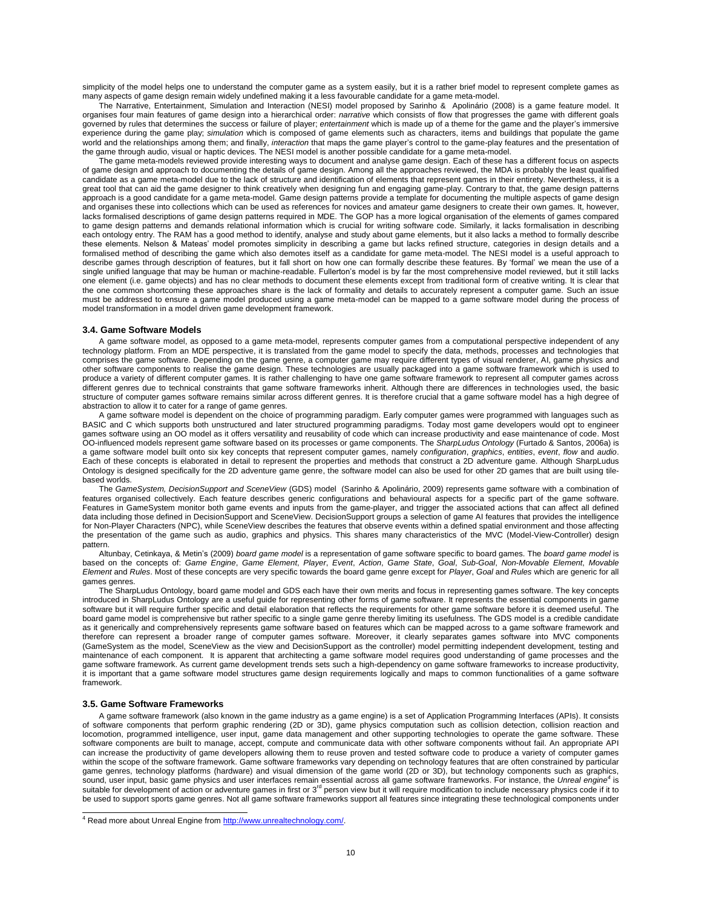simplicity of the model helps one to understand the computer game as a system easily, but it is a rather brief model to represent complete games as many aspects of game design remain widely undefined making it a less favourable candidate for a game meta-model.

The Narrative, Entertainment, Simulation and Interaction (NESI) model proposed by Sarinho & Apolinário (2008) is a game feature model. It organises four main features of game design into a hierarchical order: *narrative* which consists of flow that progresses the game with different goals governed by rules that determines the success or failure of player; *entertainment* which is made up of a theme for the game and the player"s immersive experience during the game play; *simulation* which is composed of game elements such as characters, items and buildings that populate the game world and the relationships among them; and finally, *interaction* that maps the game player"s control to the game*-*play features and the presentation of the game through audio, visual or haptic devices. The NESI model is another possible candidate for a game meta-model.

The game meta-models reviewed provide interesting ways to document and analyse game design. Each of these has a different focus on aspects of game design and approach to documenting the details of game design. Among all the approaches reviewed, the MDA is probably the least qualified candidate as a game meta-model due to the lack of structure and identification of elements that represent games in their entirety. Nevertheless, it is a great tool that can aid the game designer to think creatively when designing fun and engaging game-play. Contrary to that, the game design patterns approach is a good candidate for a game meta-model. Game design patterns provide a template for documenting the multiple aspects of game design and organises these into collections which can be used as references for novices and amateur game designers to create their own games. It, however, lacks formalised descriptions of game design patterns required in MDE. The GOP has a more logical organisation of the elements of games compared to game design patterns and demands relational information which is crucial for writing software code. Similarly, it lacks formalisation in describing each ontology entry. The RAM has a good method to identify, analyse and study about game elements, but it also lacks a method to formally describe these elements. Nelson & Mateas" model promotes simplicity in describing a game but lacks refined structure, categories in design details and a formalised method of describing the game which also demotes itself as a candidate for game meta-model. The NESI model is a useful approach to describe games through description of features, but it fall short on how one can formally describe these features. By "formal" we mean the use of a single unified language that may be human or machine-readable. Fullerton's model is by far the most comprehensive model reviewed, but it still lacks one element (i.e. game objects) and has no clear methods to document these elements except from traditional form of creative writing. It is clear that the one common shortcoming these approaches share is the lack of formality and details to accurately represent a computer game. Such an issue must be addressed to ensure a game model produced using a game meta-model can be mapped to a game software model during the process of model transformation in a model driven game development framework.

#### **3.4. Game Software Models**

A game software model, as opposed to a game meta-model, represents computer games from a computational perspective independent of any technology platform. From an MDE perspective, it is translated from the game model to specify the data, methods, processes and technologies that comprises the game software. Depending on the game genre, a computer game may require different types of visual renderer, AI, game physics and other software components to realise the game design. These technologies are usually packaged into a game software framework which is used to produce a variety of different computer games. It is rather challenging to have one game software framework to represent all computer games across different genres due to technical constraints that game software frameworks inherit. Although there are differences in technologies used, the basic structure of computer games software remains similar across different genres. It is therefore crucial that a game software model has a high degree of abstraction to allow it to cater for a range of game genres.

A game software model is dependent on the choice of programming paradigm. Early computer games were programmed with languages such as BASIC and C which supports both unstructured and later structured programming paradigms. Today most game developers would opt to engineer games software using an OO model as it offers versatility and reusability of code which can increase productivity and ease maintenance of code. Most OO-influenced models represent game software based on its processes or game components. The *SharpLudus Ontology* (Furtado & Santos, 2006a) is a game software model built onto six key concepts that represent computer games, namely *configuration*, *graphics*, *entities*, *event*, *flow* and *audio*. Each of these concepts is elaborated in detail to represent the properties and methods that construct a 2D adventure game. Although SharpLudus Ontology is designed specifically for the 2D adventure game genre, the software model can also be used for other 2D games that are built using tilebased worlds.

The *GameSystem, DecisionSupport and SceneView* (GDS) model (Sarinho & Apolinário, 2009) represents game software with a combination of features organised collectively. Each feature describes generic configurations and behavioural aspects for a specific part of the game software. Features in GameSystem monitor both game events and inputs from the game-player, and trigger the associated actions that can affect all defined data including those defined in DecisionSupport and SceneView. DecisionSupport groups a selection of game AI features that provides the intelligence for Non-Player Characters (NPC), while SceneView describes the features that observe events within a defined spatial environment and those affecting the presentation of the game such as audio, graphics and physics. This shares many characteristics of the MVC (Model-View-Controller) design pattern.

Altunbay, Cetinkaya, & Metin"s (2009) *board game model* is a representation of game software specific to board games. The *board game model* is based on the concepts of: Game Engine, Game Element, Player, Event, Action, Game State, Goal, Sub-Goal, Non-Movable Element, Movable *Element* and *Rules*. Most of these concepts are very specific towards the board game genre except for *Player*, *Goal* and *Rules* which are generic for all games genres.

The SharpLudus Ontology, board game model and GDS each have their own merits and focus in representing games software. The key concepts introduced in SharpLudus Ontology are a useful guide for representing other forms of game software. It represents the essential components in game software but it will require further specific and detail elaboration that reflects the requirements for other game software before it is deemed useful. The board game model is comprehensive but rather specific to a single game genre thereby limiting its usefulness. The GDS model is a credible candidate as it generically and comprehensively represents game software based on features which can be mapped across to a game software framework and therefore can represent a broader range of computer games software. Moreover, it clearly separates games software into MVC components (GameSystem as the model, SceneView as the view and DecisionSupport as the controller) model permitting independent development, testing and maintenance of each component. It is apparent that architecting a game software model requires good understanding of game processes and the game software framework. As current game development trends sets such a high-dependency on game software frameworks to increase productivity, it is important that a game software model structures game design requirements logically and maps to common functionalities of a game software framework.

#### **3.5. Game Software Frameworks**

A game software framework (also known in the game industry as a game engine) is a set of Application Programming Interfaces (APIs). It consists of software components that perform graphic rendering (2D or 3D), game physics computation such as collision detection, collision reaction and locomotion, programmed intelligence, user input, game data management and other supporting technologies to operate the game software. These software components are built to manage, accept, compute and communicate data with other software components without fail. An appropriate API can increase the productivity of game developers allowing them to reuse proven and tested software code to produce a variety of computer games within the scope of the software framework. Game software frameworks vary depending on technology features that are often constrained by particular game genres, technology platforms (hardware) and visual dimension of the game world (2D or 3D), but technology components such as graphics, sound, user input, basic game physics and user interfaces remain essential across all game software frameworks. For instance, the *Unreal engine<sup>4</sup>* is suitable for development of action or adventure games in first or 3<sup>rd</sup> person view but it will require modification to include necessary physics code if it to be used to support sports game genres. Not all game software frameworks support all features since integrating these technological components under

<sup>&</sup>lt;sup>4</sup> Read more about Unreal Engine fro[m http://www.unrealtechnology.com/.](http://www.unrealtechnology.com/)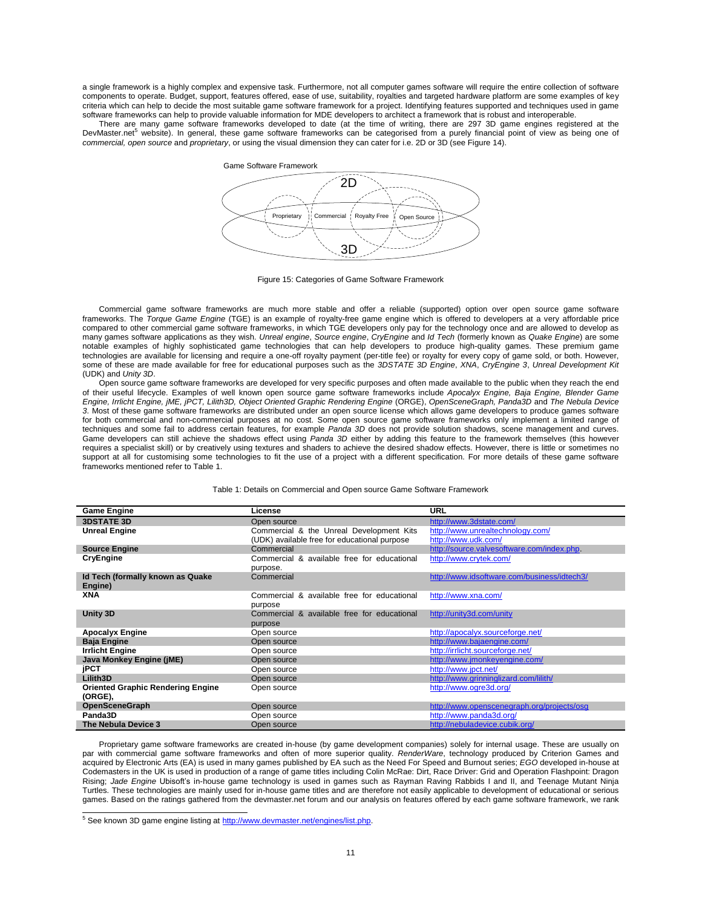a single framework is a highly complex and expensive task. Furthermore, not all computer games software will require the entire collection of software components to operate. Budget, support, features offered, ease of use, suitability, royalties and targeted hardware platform are some examples of key criteria which can help to decide the most suitable game software framework for a project. Identifying features supported and techniques used in game software frameworks can help to provide valuable information for MDE developers to architect a framework that is robust and interoperable.

There are many game software frameworks developed to date (at the time of writing, there are 297 3D game engines registered at the DevMaster.net<sup>5</sup> website). In general, these game software frameworks can be categorised from a purely financial point of view as being one of *commercial, open source* and *proprietary*, or using the visual dimension they can cater for i.e. 2D or 3D (see Figure 14).



Figure 15: Categories of Game Software Framework

Commercial game software frameworks are much more stable and offer a reliable (supported) option over open source game software frameworks. The *Torque Game Engine* (TGE) is an example of royalty-free game engine which is offered to developers at a very affordable price compared to other commercial game software frameworks, in which TGE developers only pay for the technology once and are allowed to develop as many games software applications as they wish. *Unreal engine*, *Source engine*, *CryEngine* and *Id Tech* (formerly known as *Quake Engine*) are some notable examples of highly sophisticated game technologies that can help developers to produce high-quality games. These premium game technologies are available for licensing and require a one-off royalty payment (per-title fee) or royalty for every copy of game sold, or both. However, some of these are made available for free for educational purposes such as the *3DSTATE 3D Engine*, *XNA*, *CryEngine 3*, *Unreal Development Kit* (UDK) and *Unity 3D*.

Open source game software frameworks are developed for very specific purposes and often made available to the public when they reach the end of their useful lifecycle. Examples of well known open source game software frameworks include *Apocalyx Engine, Baja Engine, Blender Game Engine, Irrlicht Engine, jME, jPCT, Lilith3D, Object Oriented Graphic Rendering Engine* (ORGE), *OpenSceneGraph, Panda3D* and *The Nebula Device 3*. Most of these game software frameworks are distributed under an open source license which allows game developers to produce games software for both commercial and non-commercial purposes at no cost. Some open source game software frameworks only implement a limited range of techniques and some fail to address certain features, for example *Panda 3D* does not provide solution shadows, scene management and curves. Game developers can still achieve the shadows effect using *Panda 3D* either by adding this feature to the framework themselves (this however requires a specialist skill) or by creatively using textures and shaders to achieve the desired shadow effects. However, there is little or sometimes no support at all for customising some technologies to fit the use of a project with a different specification. For more details of these game software frameworks mentioned refer to Table 1.

Table 1: Details on Commercial and Open source Game Software Framework

| <b>Game Engine</b>                       | License                                      | <b>URL</b>                                  |
|------------------------------------------|----------------------------------------------|---------------------------------------------|
| <b>3DSTATE 3D</b>                        | Open source                                  | http://www.3dstate.com/                     |
| <b>Unreal Engine</b>                     | Commercial & the Unreal Development Kits     | http://www.unrealtechnology.com/            |
|                                          | (UDK) available free for educational purpose | http://www.udk.com/                         |
| <b>Source Engine</b>                     | Commercial                                   | http://source.valvesoftware.com/index.php   |
| CryEngine                                | Commercial & available free for educational  | http://www.crytek.com/                      |
|                                          | purpose.                                     |                                             |
| Id Tech (formally known as Quake         | Commercial                                   | http://www.idsoftware.com/business/idtech3/ |
| Engine)                                  |                                              |                                             |
| XNA                                      | Commercial & available free for educational  | http://www.xna.com/                         |
|                                          | purpose                                      |                                             |
| Unity 3D                                 | Commercial & available free for educational  | http://unity3d.com/unity                    |
|                                          | purpose                                      |                                             |
| <b>Apocalyx Engine</b>                   | Open source                                  | http://apocalyx.sourceforge.net/            |
| <b>Baja Engine</b>                       | Open source                                  | http://www.bajaengine.com/                  |
| <b>Irrlicht Engine</b>                   | Open source                                  | http://irrlicht.sourceforge.net/            |
| Java Monkey Engine (jME)                 | Open source                                  | http://www.jmonkeyengine.com/               |
| <b>iPCT</b>                              | Open source                                  | http://www.jpct.net/                        |
| Lilith3D                                 | Open source                                  | http://www.grinninglizard.com/lilith/       |
| <b>Oriented Graphic Rendering Engine</b> | Open source                                  | http://www.ogre3d.org/                      |
| (ORGE),                                  |                                              |                                             |
| <b>OpenSceneGraph</b>                    | Open source                                  | http://www.openscenegraph.org/projects/osg  |
| Panda3D                                  | Open source                                  | http://www.panda3d.org/                     |
| The Nebula Device 3                      | Open source                                  | http://nebuladevice.cubik.org/              |

Proprietary game software frameworks are created in-house (by game development companies) solely for internal usage. These are usually on par with commercial game software frameworks and often of more superior quality. *RenderWare*, technology produced by Criterion Games and acquired by Electronic Arts (EA) is used in many games published by EA such as the Need For Speed and Burnout series; *EGO* developed in-house at Codemasters in the UK is used in production of a range of game titles including Colin McRae: Dirt, Race Driver: Grid and Operation Flashpoint: Dragon Rising; Jade Engine Ubisoft's in-house game technology is used in games such as Rayman Raving Rabbids I and II, and Teenage Mutant Ninja Turtles. These technologies are mainly used for in-house game titles and are therefore not easily applicable to development of educational or serious games. Based on the ratings gathered from the devmaster.net forum and our analysis on features offered by each game software framework, we rank

<sup>5</sup> See known 3D game engine listing at http://www.devmaster.net/engines/list.php.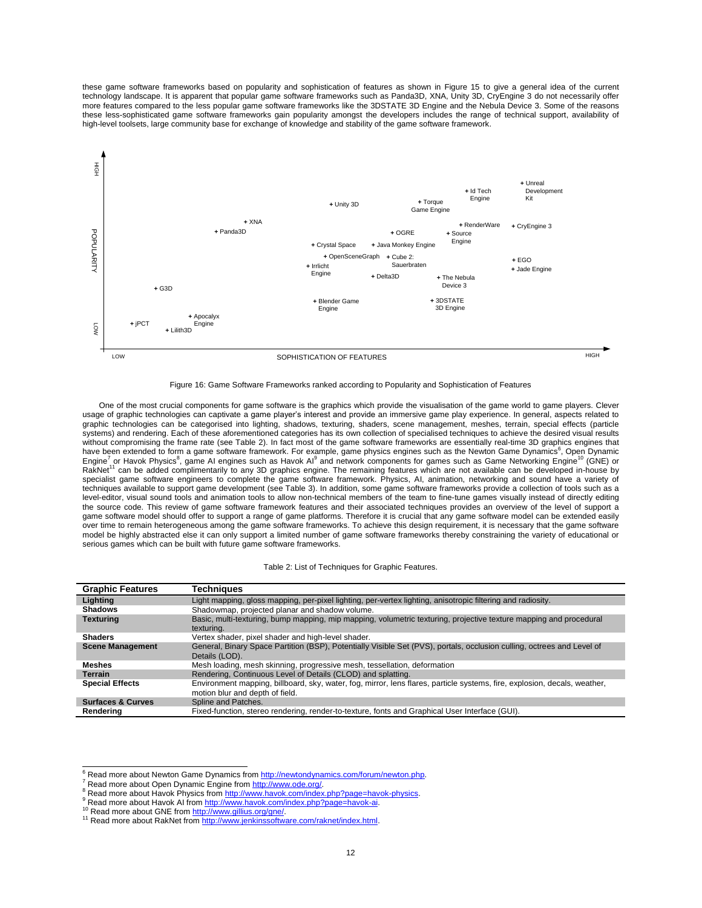these game software frameworks based on popularity and sophistication of features as shown in Figure 15 to give a general idea of the current technology landscape. It is apparent that popular game software frameworks such as Panda3D, XNA, Unity 3D, CryEngine 3 do not necessarily offer more features compared to the less popular game software frameworks like the 3DSTATE 3D Engine and the Nebula Device 3. Some of the reasons these less-sophisticated game software frameworks gain popularity amongst the developers includes the range of technical support, availability of high-level toolsets, large community base for exchange of knowledge and stability of the game software framework.



Figure 16: Game Software Frameworks ranked according to Popularity and Sophistication of Features

One of the most crucial components for game software is the graphics which provide the visualisation of the game world to game players. Clever usage of graphic technologies can captivate a game player"s interest and provide an immersive game play experience. In general, aspects related to graphic technologies can be categorised into lighting, shadows, texturing, shaders, scene management, meshes, terrain, special effects (particle systems) and rendering. Each of these aforementioned categories has its own collection of specialised techniques to achieve the desired visual results without compromising the frame rate (see Table 2). In fact most of the game software frameworks are essentially real-time 3D graphics engines that have been extended to form a game software framework. For example, game physics engines such as the Newton Game Dynamics<sup>6</sup>, Open Dynamic<br>Engine<sup>7</sup> or Havok Physics<sup>8</sup>, game AI engines such as Havok AI<sup>9</sup> and network compo RakNet<sup>11</sup> can be added complimentarily to any 3D graphics engine. The remaining features which are not available can be developed in-house by specialist game software engineers to complete the game software framework. Physics, AI, animation, networking and sound have a variety of techniques available to support game development (see Table 3). In addition, some game software frameworks provide a collection of tools such as a level-editor, visual sound tools and animation tools to allow non-technical members of the team to fine-tune games visually instead of directly editing the source code. This review of game software framework features and their associated techniques provides an overview of the level of support a game software model should offer to support a range of game platforms. Therefore it is crucial that any game software model can be extended easily over time to remain heterogeneous among the game software frameworks. To achieve this design requirement, it is necessary that the game software model be highly abstracted else it can only support a limited number of game software frameworks thereby constraining the variety of educational or serious games which can be built with future game software frameworks.

| <b>Graphic Features</b>      | Techniques                                                                                                                                                   |
|------------------------------|--------------------------------------------------------------------------------------------------------------------------------------------------------------|
| Lighting                     | Light mapping, gloss mapping, per-pixel lighting, per-vertex lighting, anisotropic filtering and radiosity.                                                  |
| <b>Shadows</b>               | Shadowmap, projected planar and shadow volume.                                                                                                               |
| <b>Texturing</b>             | Basic, multi-texturing, bump mapping, mip mapping, volumetric texturing, projective texture mapping and procedural<br>texturing.                             |
| <b>Shaders</b>               | Vertex shader, pixel shader and high-level shader.                                                                                                           |
| <b>Scene Management</b>      | General, Binary Space Partition (BSP), Potentially Visible Set (PVS), portals, occlusion culling, octrees and Level of<br>Details (LOD).                     |
| Meshes                       | Mesh loading, mesh skinning, progressive mesh, tessellation, deformation                                                                                     |
| <b>Terrain</b>               | Rendering, Continuous Level of Details (CLOD) and splatting.                                                                                                 |
| <b>Special Effects</b>       | Environment mapping, billboard, sky, water, fog, mirror, lens flares, particle systems, fire, explosion, decals, weather,<br>motion blur and depth of field. |
| <b>Surfaces &amp; Curves</b> | Spline and Patches.                                                                                                                                          |
| Renderina                    | Fixed-function, stereo rendering, render-to-texture, fonts and Graphical User Interface (GUI).                                                               |

9 Read more about Havok AI from [http://www.havok.com/index.php?page=havok-ai.](http://www.havok.com/index.php?page=havok-ai)

e<br>Fixer Read more about Newton Game Dynamics from [http://newtondynamics.com/forum/newton.php.](http://newtondynamics.com/forum/newton.php)

<sup>7</sup> Read more about Open Dynamic Engine fro[m http://www.ode.org/.](http://www.ode.org/) 

Read more about Havok Physics from http://www.havok.com/index.php?page=havok-physics.

<sup>10</sup> Read more about GNE from [http://www.gillius.org/gne/.](http://www.gillius.org/gne/) 

<sup>&</sup>lt;sup>11</sup> Read more about RakNet from http://www.jenkinssoftware.com/raknet/index.html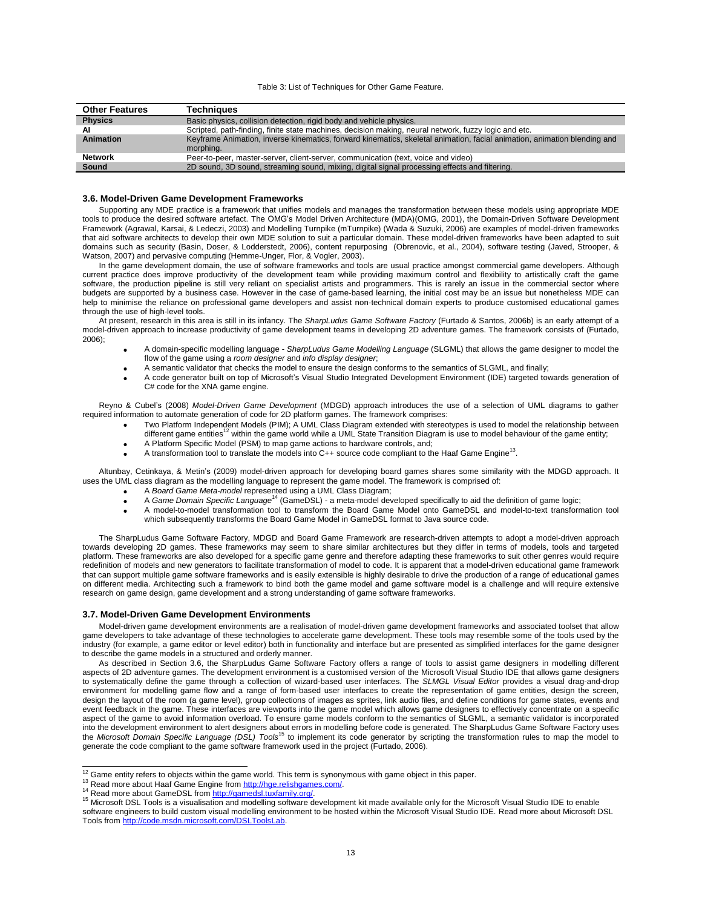#### Table 3: List of Techniques for Other Game Feature.

| <b>Other Features</b> | Techniaues                                                                                                               |
|-----------------------|--------------------------------------------------------------------------------------------------------------------------|
| <b>Physics</b>        | Basic physics, collision detection, rigid body and vehicle physics.                                                      |
|                       | Scripted, path-finding, finite state machines, decision making, neural network, fuzzy logic and etc.                     |
| Animation             | Keyframe Animation, inverse kinematics, forward kinematics, skeletal animation, facial animation, animation blending and |
|                       | morphing.                                                                                                                |
| <b>Network</b>        | Peer-to-peer, master-server, client-server, communication (text, voice and video)                                        |
| <b>Sound</b>          | 2D sound, 3D sound, streaming sound, mixing, digital signal processing effects and filtering.                            |

#### **3.6. Model-Driven Game Development Frameworks**

Supporting any MDE practice is a framework that unifies models and manages the transformation between these models using appropriate MDE tools to produce the desired software artefact. The OMG"s Model Driven Architecture (MDA)(OMG, 2001), the Domain-Driven Software Development Framework (Agrawal, Karsai, & Ledeczi, 2003) and Modelling Turnpike (mTurnpike) (Wada & Suzuki, 2006) are examples of model-driven frameworks that aid software architects to develop their own MDE solution to suit a particular domain. These model-driven frameworks have been adapted to suit domains such as security (Basin, Doser, & Lodderstedt, 2006), content repurposing (Obrenovic, et al., 2004), software testing (Javed, Strooper, & Watson, 2007) and pervasive computing (Hemme-Unger, Flor, & Vogler, 2003).

In the game development domain, the use of software frameworks and tools are usual practice amongst commercial game developers. Although current practice does improve productivity of the development team while providing maximum control and flexibility to artistically craft the game software, the production pipeline is still very reliant on specialist artists and programmers. This is rarely an issue in the commercial sector where budgets are supported by a business case. However in the case of game-based learning, the initial cost may be an issue but nonetheless MDE can help to minimise the reliance on professional game developers and assist non-technical domain experts to produce customised educational games through the use of high-level tools.

At present, research in this area is still in its infancy. The *SharpLudus Game Software Factory* (Furtado & Santos, 2006b) is an early attempt of a model-driven approach to increase productivity of game development teams in developing 2D adventure games. The framework consists of (Furtado, 2006);

- A domain-specific modelling language *SharpLudus Game Modelling Language* (SLGML) that allows the game designer to model the flow of the game using a *room designer* and *info display designer*;
- A semantic validator that checks the model to ensure the design conforms to the semantics of SLGML, and finally;
- A code generator built on top of Microsoft"s Visual Studio Integrated Development Environment (IDE) targeted towards generation of C# code for the XNA game engine.

Reyno & Cubel"s (2008) *Model-Driven Game Development* (MDGD) approach introduces the use of a selection of UML diagrams to gather required information to automate generation of code for 2D platform games. The framework comprises:

- Two Platform Independent Models (PIM); A UML Class Diagram extended with stereotypes is used to model the relationship between different game entities<sup>12</sup> within the game world while a UML State Transition Diagram is use to model behaviour of the game entity;
- A Platform Specific Model (PSM) to map game actions to hardware controls, and;
- 
- A transformation tool to translate the models into C++ source code compliant to the Haaf Game Engine<sup>13</sup>.

Altunbay, Cetinkaya, & Metin"s (2009) model-driven approach for developing board games shares some similarity with the MDGD approach. It uses the UML class diagram as the modelling language to represent the game model. The framework is comprised of:

- A *Board Game Meta-model* represented using a UML Class Diagram;
- A *Game Domain Specific Language*<sup>14</sup> (GameDSL) a meta-model developed specifically to aid the definition of game logic;
- A model-to-model transformation tool to transform the Board Game Model onto GameDSL and model-to-text transformation tool which subsequently transforms the Board Game Model in GameDSL format to Java source code.

The SharpLudus Game Software Factory, MDGD and Board Game Framework are research-driven attempts to adopt a model-driven approach towards developing 2D games. These frameworks may seem to share similar architectures but they differ in terms of models, tools and targeted platform. These frameworks are also developed for a specific game genre and therefore adapting these frameworks to suit other genres would require redefinition of models and new generators to facilitate transformation of model to code. It is apparent that a model-driven educational game framework that can support multiple game software frameworks and is easily extensible is highly desirable to drive the production of a range of educational games on different media. Architecting such a framework to bind both the game model and game software model is a challenge and will require extensive research on game design, game development and a strong understanding of game software frameworks.

#### **3.7. Model-Driven Game Development Environments**

Model-driven game development environments are a realisation of model-driven game development frameworks and associated toolset that allow game developers to take advantage of these technologies to accelerate game development. These tools may resemble some of the tools used by the industry (for example, a game editor or level editor) both in functionality and interface but are presented as simplified interfaces for the game designer to describe the game models in a structured and orderly manner.

As described in Section 3.6, the SharpLudus Game Software Factory offers a range of tools to assist game designers in modelling different aspects of 2D adventure games. The development environment is a customised version of the Microsoft Visual Studio IDE that allows game designers to systematically define the game through a collection of wizard-based user interfaces. The *SLMGL Visual Editor* provides a visual drag-and-drop environment for modelling game flow and a range of form-based user interfaces to create the representation of game entities, design the screen, design the layout of the room (a game level), group collections of images as sprites, link audio files, and define conditions for game states, events and event feedback in the game. These interfaces are viewports into the game model which allows game designers to effectively concentrate on a specific aspect of the game to avoid information overload. To ensure game models conform to the semantics of SLGML, a semantic validator is incorporated into the development environment to alert designers about errors in modelling before code is generated. The SharpLudus Game Software Factory uses<br>the *Microsoft Domain Specific Language (DSL) Tools* <sup>15</sup> to implement its c generate the code compliant to the game software framework used in the project (Furtado, 2006).

 $12$  Game entity refers to objects within the game world. This term is synonymous with game object in this paper.

<sup>13</sup> Read more about Haaf Game Engine from http://hge.relishgames.

<sup>&</sup>lt;sup>14</sup> Read more about GameDSL from http://gamedsl.tuxfamily.org/

<sup>15</sup> Microsoft DSL Tools is a visualisation and modelling software development kit made available only for the Microsoft Visual Studio IDE to enable software engineers to build custom visual modelling environment to be hosted within the Microsoft Visual Studio IDE. Read more about Microsoft DSL Tools from [http://code.msdn.microsoft.com/DSLToolsLab.](http://code.msdn.microsoft.com/DSLToolsLab)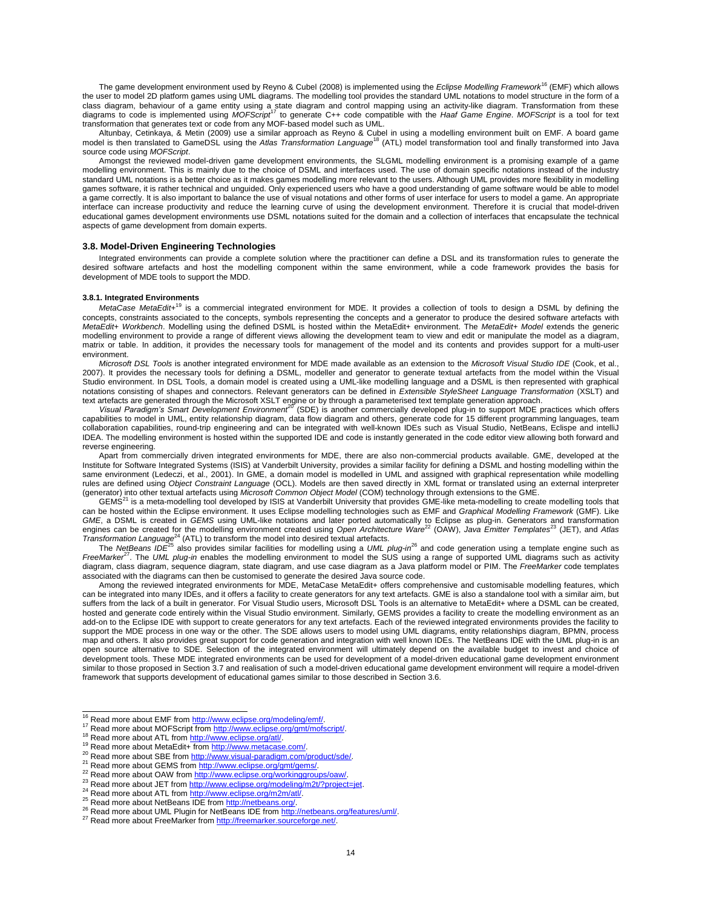The game development environment used by Reyno & Cubel (2008) is implemented using the *Eclipse Modelling Framework*<sup>16</sup> (EMF) which allows the user to model 2D platform games using UML diagrams. The modelling tool provides the standard UML notations to model structure in the form of a class diagram, behaviour of a game entity using a state diagram and control mapping using an activity-like diagram. Transformation from these<br>diagrams to code is implemented using MO*FScript<sup>17</sup>* to generate C++ code compa transformation that generates text or code from any MOF-based model such as UML.

Altunbay, Cetinkaya, & Metin (2009) use a similar approach as Reyno & Cubel in using a modelling environment built on EMF. A board game model is then translated to GameDSL using the *Atlas Transformation Language*<sup>18</sup> (ATL) model transformation tool and finally transformed into Java source code using *MOFScript*.

Amongst the reviewed model-driven game development environments, the SLGML modelling environment is a promising example of a game modelling environment. This is mainly due to the choice of DSML and interfaces used. The use of domain specific notations instead of the industry standard UML notations is a better choice as it makes games modelling more relevant to the users. Although UML provides more flexibility in modelling games software, it is rather technical and unguided. Only experienced users who have a good understanding of game software would be able to model a game correctly. It is also important to balance the use of visual notations and other forms of user interface for users to model a game. An appropriate interface can increase productivity and reduce the learning curve of using the development environment. Therefore it is crucial that model-driven educational games development environments use DSML notations suited for the domain and a collection of interfaces that encapsulate the technical aspects of game development from domain experts.

#### **3.8. Model-Driven Engineering Technologies**

Integrated environments can provide a complete solution where the practitioner can define a DSL and its transformation rules to generate the desired software artefacts and host the modelling component within the same environment, while a code framework provides the basis for development of MDE tools to support the MDD.

#### **3.8.1. Integrated Environments**

MetaCase MetaEdit+<sup>19</sup> is a commercial integrated environment for MDE. It provides a collection of tools to design a DSML by defining the concepts, constraints associated to the concepts, symbols representing the concepts and a generator to produce the desired software artefacts with *MetaEdit+ Workbench*. Modelling using the defined DSML is hosted within the MetaEdit+ environment. The *MetaEdit+ Model* extends the generic modelling environment to provide a range of different views allowing the development team to view and edit or manipulate the model as a diagram, matrix or table. In addition, it provides the necessary tools for management of the model and its contents and provides support for a multi-user environment.

*Microsoft DSL Tools* is another integrated environment for MDE made available as an extension to the *Microsoft Visual Studio IDE* (Cook, et al., 2007). It provides the necessary tools for defining a DSML, modeller and generator to generate textual artefacts from the model within the Visual Studio environment. In DSL Tools, a domain model is created using a UML-like modelling language and a DSML is then represented with graphical notations consisting of shapes and connectors. Relevant generators can be defined in *Extensible StyleSheet Language Transformation* (XSLT) and text artefacts are generated through the Microsoft XSLT engine or by through a parameterised text template generation approach.<br>Visual Paradigm's Smart Development Environment<sup>20</sup> (SDE) is another commercially developed pl

capabilities to model in UML, entity relationship diagram, data flow diagram and others, generate code for 15 different programming languages, team collaboration capabilities, round-trip engineering and can be integrated with well-known IDEs such as Visual Studio, NetBeans, Eclispe and intelliJ IDEA. The modelling environment is hosted within the supported IDE and code is instantly generated in the code editor view allowing both forward and reverse engineering.

Apart from commercially driven integrated environments for MDE, there are also non-commercial products available. GME, developed at the Institute for Software Integrated Systems (ISIS) at Vanderbilt University, provides a similar facility for defining a DSML and hosting modelling within the same environment (Ledeczi, et al., 2001). In GME, a domain model is modelled in UML and assigned with graphical representation while modelling rules are defined using *Object Constraint Language* (OCL). Models are then saved directly in XML format or translated using an external interpreter (generator) into other textual artefacts using *Microsoft Common Object Model* (COM) technology through extensions to the GME.<br>GEMS<sup>21</sup> is a meta-modelling tool developed by ISIS at Vanderbilt University that provides GME-

can be hosted within the Eclipse environment. It uses Eclipse modelling technologies such as EMF and *Graphical Modelling Framework* (GMF). Like GME, a DSML is created in GEMS using UML-like notations and later ported automatically to Eclipse as plug-in. Generators and transformation<br>engines can be created for the modelling environment created using Open Architectu *Transformation Language*<sup>24</sup> (ATL) to transform the model into desired textual artefacts.

The *NetBeans IDE*<sup>25</sup> also provides similar facilities for modelling using a *UML plug-in*<sup>26</sup> and code generation using a template engine such as FreeMarker<sup>27</sup>. The UML plug-in enables the modelling environment to model the SUS using a range of supported UML diagrams such as activity diagram, class diagram, sequence diagram, state diagram, and use case diagram as a Java platform model or PIM. The *FreeMarker* code templates associated with the diagrams can then be customised to generate the desired Java source code.

Among the reviewed integrated environments for MDE, MetaCase MetaEdit+ offers comprehensive and customisable modelling features, which can be integrated into many IDEs, and it offers a facility to create generators for any text artefacts. GME is also a standalone tool with a similar aim, but suffers from the lack of a built in generator. For Visual Studio users, Microsoft DSL Tools is an alternative to MetaEdit+ where a DSML can be created, hosted and generate code entirely within the Visual Studio environment. Similarly, GEMS provides a facility to create the modelling environment as an add-on to the Eclipse IDE with support to create generators for any text artefacts. Each of the reviewed integrated environments provides the facility to support the MDE process in one way or the other. The SDE allows users to model using UML diagrams, entity relationships diagram, BPMN, process map and others. It also provides great support for code generation and integration with well known IDEs. The NetBeans IDE with the UML plug*-*in is an open source alternative to SDE. Selection of the integrated environment will ultimately depend on the available budget to invest and choice of development tools. These MDE integrated environments can be used for development of a model-driven educational game development environment similar to those proposed in Section 3.7 and realisation of such a model-driven educational game development environment will require a model-driven framework that supports development of educational games similar to those described in Section 3.6.

<sup>17</sup> Read more about MOFScript fro[m http://www.eclipse.org/gmt/mofscript/.](http://www.eclipse.org/gmt/mofscript/) 

<sup>&</sup>lt;sup>16</sup> Read more about EMF from http://www.eclipse.org/modeling/emf/.

<sup>18</sup> Read more about ATL from http://www.eclipse.org/atl/.

<sup>&</sup>lt;sup>19</sup> Read more about MetaEdit+ from http://www.metacase.com/.

<sup>20</sup> Read more about SBE from http://www.visual-paradigm.com/product/sde/.

<sup>21</sup> Read more about GEMS fro[m http://www.eclipse.org/gmt/gems/.](http://www.eclipse.org/gmt/gems/) 

<sup>&</sup>lt;sup>22</sup> Read more about OAW from http://www.eclipse.org/workinggroups/oaw/

<sup>&</sup>lt;sup>23</sup> Read more about JET fro[m http://www.eclipse.org/modeling/m2t/?project=jet.](http://www.eclipse.org/modeling/m2t/?project=jet)

<sup>&</sup>lt;sup>24</sup> Read more about ATL fro[m http://www.eclipse.org/m2m/atl/.](http://www.eclipse.org/m2m/atl/)

<sup>&</sup>lt;sup>25</sup> Read more about NetBeans IDE from http://netbeans.org/

<sup>&</sup>lt;sup>26</sup> Read more about UML Plugin for NetBeans IDE fro[m http://netbeans.org/features/uml/.](http://netbeans.org/features/uml/)

<sup>27</sup> Read more about FreeMarker from http://freemarker.sourceforge.net/.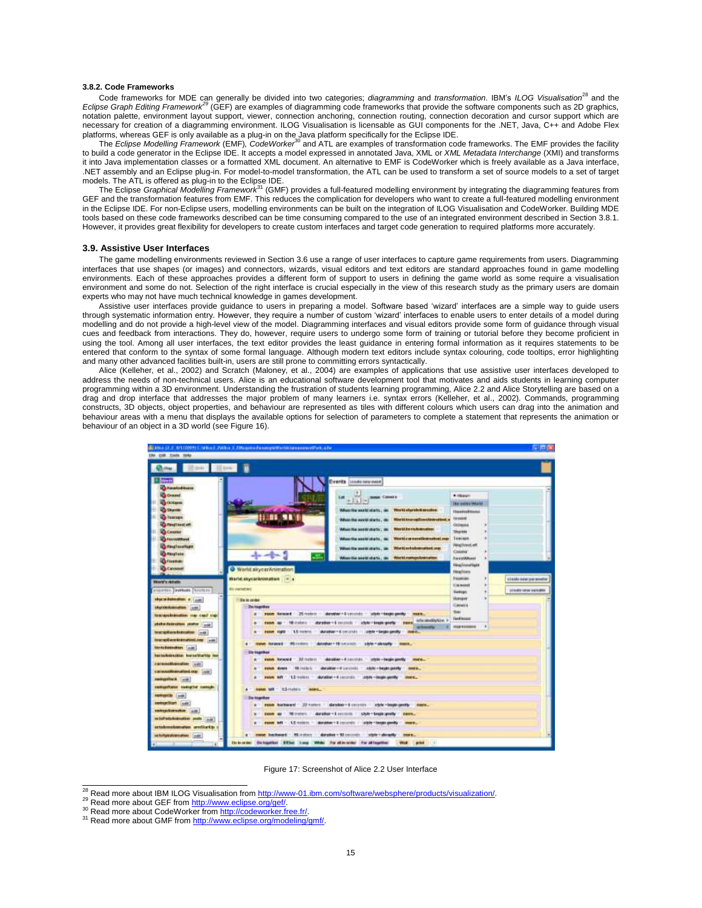#### **3.8.2. Code Frameworks**

Code frameworks for MDE can generally be divided into two categories; *diagramming* and *transformation*. IBM"s *ILOG Visualisation*<sup>28</sup> and the *Eclipse Graph Editing Framework<sup>29</sup>* (GEF) are examples of diagramming code frameworks that provide the software components such as 2D graphics, notation palette, environment layout support, viewer, connection anchoring, connection routing, connection decoration and cursor support which are necessary for creation of a diagramming environment. ILOG Visualisation is licensable as GUI components for the .NET, Java, C++ and Adobe Flex

platforms, whereas GEF is only available as a plug-in on the Java platform specifically for the Eclipse IDE.<br>The *Eclipse Modelling Framework* (EMF), *CodeWorker<sup>30</sup>* and ATL are examples of transformation code frameworks. to build a code generator in the Eclipse IDE. It accepts a model expressed in annotated Java, XML or *XML Metadata Interchange* (XMI) and transforms it into Java implementation classes or a formatted XML document. An alternative to EMF is CodeWorker which is freely available as a Java interface, .NET assembly and an Eclipse plug*-*in. For model-to-model transformation, the ATL can be used to transform a set of source models to a set of target

models. The ATL is offered as plug-in to the Eclipse IDE. The Eclipse *Graphical Modelling Framework*<sup>31</sup> (GMF) provides a full-featured modelling environment by integrating the diagramming features from GEF and the transformation features from EMF. This reduces the complication for developers who want to create a full-featured modelling environment in the Eclipse IDE. For non-Eclipse users, modelling environments can be built on the integration of ILOG Visualisation and CodeWorker. Building MDE tools based on these code frameworks described can be time consuming compared to the use of an integrated environment described in Section 3.8.1. However, it provides great flexibility for developers to create custom interfaces and target code generation to required platforms more accurately.

#### **3.9. Assistive User Interfaces**

The game modelling environments reviewed in Section 3.6 use a range of user interfaces to capture game requirements from users. Diagramming interfaces that use shapes (or images) and connectors, wizards, visual editors and text editors are standard approaches found in game modelling environments. Each of these approaches provides a different form of support to users in defining the game world as some require a visualisation environment and some do not. Selection of the right interface is crucial especially in the view of this research study as the primary users are domain experts who may not have much technical knowledge in games development.

Assistive user interfaces provide guidance to users in preparing a model. Software based "wizard" interfaces are a simple way to guide users through systematic information entry. However, they require a number of custom "wizard" interfaces to enable users to enter details of a model during modelling and do not provide a high-level view of the model. Diagramming interfaces and visual editors provide some form of guidance through visual cues and feedback from interactions. They do, however, require users to undergo some form of training or tutorial before they become proficient in using the tool. Among all user interfaces, the text editor provides the least guidance in entering formal information as it requires statements to be entered that conform to the syntax of some formal language. Although modern text editors include syntax colouring, code tooltips, error highlighting and many other advanced facilities built-in, users are still prone to committing errors syntactically.

Alice (Kelleher, et al., 2002) and Scratch (Maloney, et al., 2004) are examples of applications that use assistive user interfaces developed to address the needs of non-technical users. Alice is an educational software development tool that motivates and aids students in learning computer programming within a 3D environment. Understanding the frustration of students learning programming, Alice 2.2 and Alice Storytelling are based on a drag and drop interface that addresses the major problem of many learners i.e. syntax errors (Kelleher, et al., 2002). Commands, programming constructs, 3D objects, object properties, and behaviour are represented as tiles with different colours which users can drag into the animation and behaviour areas with a menu that displays the available options for selection of parameters to complete a statement that represents the animation or behaviour of an object in a 3D world (see Figure 16).



Figure 17: Screenshot of Alice 2.2 User Interface

<sup>&</sup>lt;sup>28</sup> Read more about IBM ILOG Visualisation from http://www-01.ibm.com/software/websphere/products/visualization/.

<sup>&</sup>lt;sup>29</sup> Read more about GEF from http://www.eclipse.org/gef/.

<sup>&</sup>lt;sup>30</sup> Read more about CodeWorker from http://codeworker.free.fr/.

<sup>31</sup> Read more about GMF fro[m http://www.eclipse.org/modeling/gmf/.](http://www.eclipse.org/modeling/gmf/)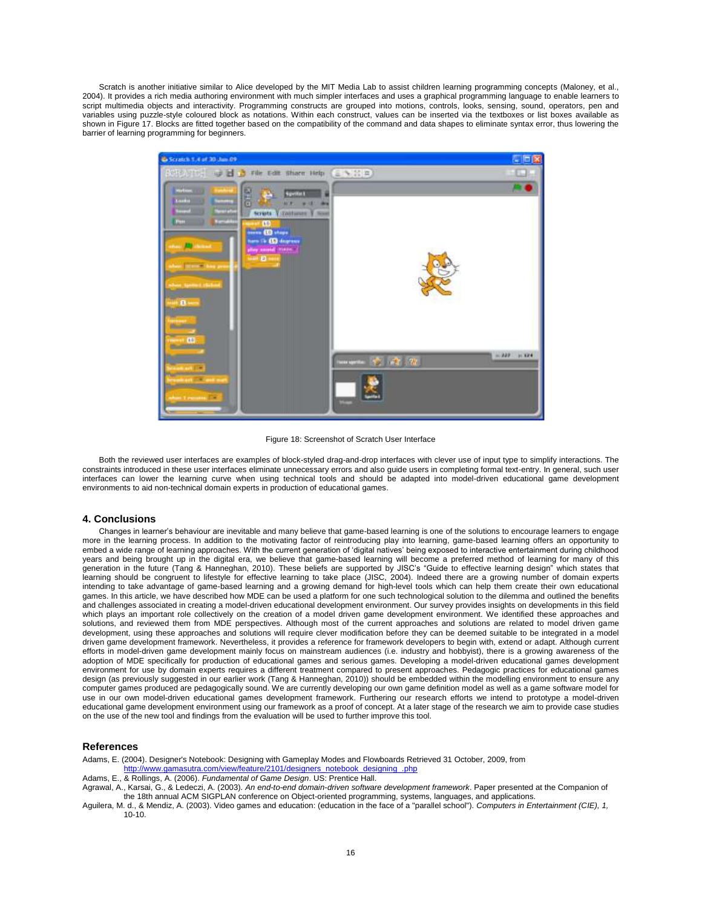Scratch is another initiative similar to Alice developed by the MIT Media Lab to assist children learning programming concepts (Maloney, et al., 2004). It provides a rich media authoring environment with much simpler interfaces and uses a graphical programming language to enable learners to script multimedia objects and interactivity. Programming constructs are grouped into motions, controls, looks, sensing, sound, operators, pen and variables using puzzle-style coloured block as notations. Within each construct, values can be inserted via the textboxes or list boxes available as shown in Figure 17. Blocks are fitted together based on the compatibility of the command and data shapes to eliminate syntax error, thus lowering the barrier of learning programming for beginners.



Figure 18: Screenshot of Scratch User Interface

Both the reviewed user interfaces are examples of block-styled drag-and-drop interfaces with clever use of input type to simplify interactions. The constraints introduced in these user interfaces eliminate unnecessary errors and also guide users in completing formal text-entry. In general, such user interfaces can lower the learning curve when using technical tools and should be adapted into model-driven educational game development environments to aid non-technical domain experts in production of educational games.

# **4. Conclusions**

Changes in learner"s behaviour are inevitable and many believe that game-based learning is one of the solutions to encourage learners to engage more in the learning process. In addition to the motivating factor of reintroducing play into learning, game-based learning offers an opportunity to embed a wide range of learning approaches. With the current generation of "digital natives" being exposed to interactive entertainment during childhood years and being brought up in the digital era, we believe that game-based learning will become a preferred method of learning for many of this generation in the future (Tang & Hanneghan, 2010). These beliefs are supported by JISC"s "Guide to effective learning design" which states that learning should be congruent to lifestyle for effective learning to take place (JISC, 2004). Indeed there are a growing number of domain experts intending to take advantage of game-based learning and a growing demand for high-level tools which can help them create their own educational games. In this article, we have described how MDE can be used a platform for one such technological solution to the dilemma and outlined the benefits and challenges associated in creating a model-driven educational development environment. Our survey provides insights on developments in this field which plays an important role collectively on the creation of a model driven game development environment. We identified these approaches and solutions, and reviewed them from MDE perspectives. Although most of the current approaches and solutions are related to model driven game development, using these approaches and solutions will require clever modification before they can be deemed suitable to be integrated in a model driven game development framework. Nevertheless, it provides a reference for framework developers to begin with, extend or adapt. Although current efforts in model-driven game development mainly focus on mainstream audiences (i.e. industry and hobbyist), there is a growing awareness of the adoption of MDE specifically for production of educational games and serious games. Developing a model-driven educational games development environment for use by domain experts requires a different treatment compared to present approaches. Pedagogic practices for educational games design (as previously suggested in our earlier work (Tang & Hanneghan, 2010)) should be embedded within the modelling environment to ensure any computer games produced are pedagogically sound. We are currently developing our own game definition model as well as a game software model for use in our own model-driven educational games development framework. Furthering our research efforts we intend to prototype a model-driven educational game development environment using our framework as a proof of concept. At a later stage of the research we aim to provide case studies on the use of the new tool and findings from the evaluation will be used to further improve this tool.

#### **References**

Adams, E. (2004). Designer's Notebook: Designing with Gameplay Modes and Flowboards Retrieved 31 October, 2009, from [http://www.gamasutra.com/view/feature/2101/designers\\_notebook\\_designing\\_.php](http://www.gamasutra.com/view/feature/2101/designers_notebook_designing_.php)

Adams, E., & Rollings, A. (2006). *Fundamental of Game Design*. US: Prentice Hall.

Agrawal, A., Karsai, G., & Ledeczi, A. (2003). *An end-to-end domain-driven software development framework*. Paper presented at the Companion of the 18th annual ACM SIGPLAN conference on Object-oriented programming, systems, languages, and applications.

Aguilera, M. d., & Mendiz, A. (2003). Video games and education: (education in the face of a "parallel school"). *Computers in Entertainment (CIE), 1,* 10-10.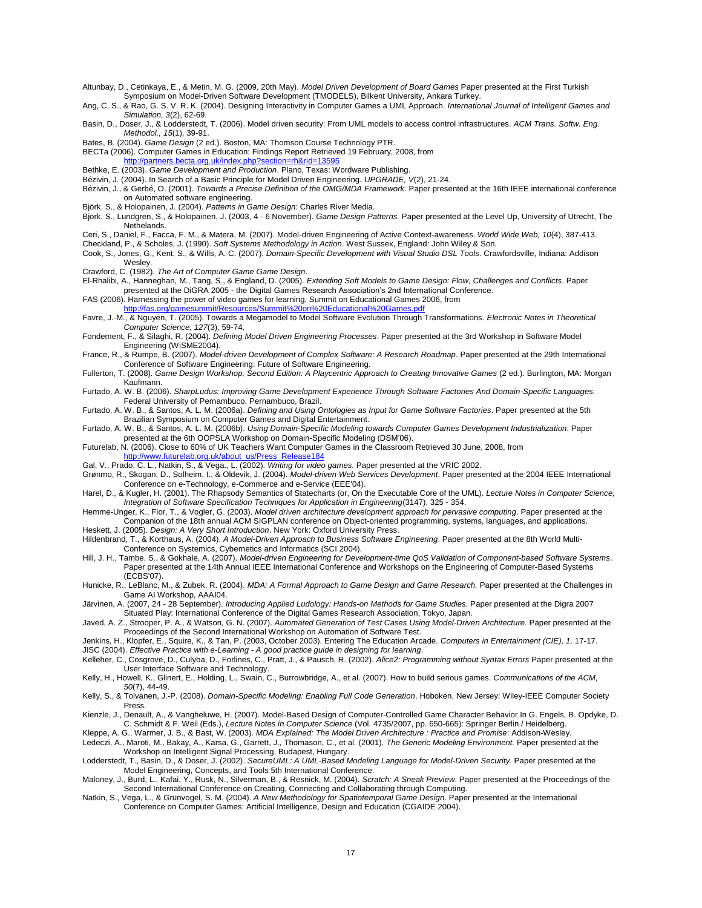- Altunbay, D., Cetinkaya, E., & Metin, M. G. (2009, 20th May). *Model Driven Development of Board Games* Paper presented at the First Turkish Symposium on Model-Driven Software Development (TMODELS), Bilkent University, Ankara Turkey.
- Ang, C. S., & Rao, G. S. V. R. K. (2004). Designing Interactivity in Computer Games a UML Approach. *International Journal of Intelligent Games and Simulation, 3*(2), 62-69.
- Basin, D., Doser, J., & Lodderstedt, T. (2006). Model driven security: From UML models to access control infrastructures. *ACM Trans. Softw. Eng. Methodol., 15*(1), 39-91.
- Bates, B. (2004). *Game Design* (2 ed.). Boston, MA: Thomson Course Technology PTR.
- BECTa (2006). Computer Games in Education: Findings Report Retrieved 19 February, 2008, from .<br>tp://partners.becta.org.uk/index.php?section=rh&rid=1359
- Bethke, E. (2003). *Game Development and Production*. Plano, Texas: Wordware Publishing.
- Bézivin, J. (2004). In Search of a Basic Principle for Model Driven Engineering. *UPGRADE, V*(2), 21-24.
- Bézivin, J., & Gerbé, O. (2001). *Towards a Precise Definition of the OMG/MDA Framework*. Paper presented at the 16th IEEE international conference on Automated software engineering.
- Björk, S., & Holopainen, J. (2004). *Patterns in Game Design*: Charles River Media.
- Björk, S., Lundgren, S., & Holopainen, J. (2003, 4 6 November). *Game Design Patterns.* Paper presented at the Level Up, University of Utrecht, The Nethelands.
- Ceri, S., Daniel, F., Facca, F. M., & Matera, M. (2007). Model-driven Engineering of Active Context-awareness. *World Wide Web, 10*(4), 387-413. Checkland, P., & Scholes, J. (1990). *Soft Systems Methodology in Action*. West Sussex, England: John Wiley & Son.
- Cook, S., Jones, G., Kent, S., & Wills, A. C. (2007). *Domain-Specific Development with Visual Studio DSL Tools*. Crawfordsville, Indiana: Addison Wesley.
- Crawford, C. (1982). *The Art of Computer Game Game Design*.
- El-Rhalibi, A., Hanneghan, M., Tang, S., & England, D. (2005). *Extending Soft Models to Game Design: Flow, Challenges and Conflicts*. Paper presented at the DiGRA 2005 - the Digital Games Research Association"s 2nd International Conference.
- FAS (2006). Harnessing the power of video games for learning, Summit on Educational Games 2006, from<br>http://fas.org/games.ummit/Resources/Summit%20on%20Educational%20Games.odf
- <http://fas.org/gamesummit/Resources/Summit%20on%20Educational%20Games.pdf> Favre, J.-M., & Nguyen, T. (2005). Towards a Megamodel to Model Software Evolution Through Transformations. *Electronic Notes in Theoretical Computer Science, 127*(3), 59-74.
- Fondement, F., & Silaghi, R. (2004). *Defining Model Driven Engineering Processes*. Paper presented at the 3rd Workshop in Software Model Engineering (WiSME2004).
- France, R., & Rumpe, B. (2007). *Model-driven Development of Complex Software: A Research Roadmap*. Paper presented at the 29th International Conference of Software Engineering: Future of Software Engineering.
- Fullerton, T. (2008). *Game Design Workshop, Second Edition: A Playcentric Approach to Creating Innovative Games* (2 ed.). Burlington, MA: Morgan Kaufmann.
- Furtado, A. W. B. (2006). *SharpLudus: Improving Game Development Experience Through Software Factories And Domain-Specific Languages.* Federal University of Pernambuco, Pernambuco, Brazil.
- Furtado, A. W. B., & Santos, A. L. M. (2006a). *Defining and Using Ontologies as Input for Game Software Factories*. Paper presented at the 5th Brazilian Symposium on Computer Games and Digital Entertainment.
- Furtado, A. W. B., & Santos, A. L. M. (2006b). *Using Domain-Specific Modeling towards Computer Games Development Industrialization*. Paper presented at the 6th OOPSLA Workshop on Domain-Specific Modeling (DSM"06).
- Futurelab, N. (2006). Close to 60% of UK Teachers Want Computer Games in the Classroom Retrieved 30 June, 2008, from w.futurelab.org.uk/about\_us/Press\_Release184
- Gal, V., Prado, C. L., Natkin, S., & Vega., L. (2002). *Writing for video games*. Paper presented at the VRIC 2002.
- Grønmo, R., Skogan, D., Solheim, I., & Oldevik, J. (2004). *Model-driven Web Services Development*. Paper presented at the 2004 IEEE International Conference on e-Technology, e-Commerce and e-Service (EEE'04).
- Harel, D., & Kugler, H. (2001). The Rhapsody Semantics of Statecharts (or, On the Executable Core of the UML). *Lecture Notes in Computer Science, Integration of Software Specification Techniques for Application in Engineering*(3147), 325 - 354.
- Hemme-Unger, K., Flor, T., & Vogler, G. (2003). *Model driven architecture development approach for pervasive computing*. Paper presented at the Companion of the 18th annual ACM SIGPLAN conference on Object-oriented programming, systems, languages, and applications.
- Heskett, J. (2005). *Design: A Very Short Introduction*. New York: Oxford University Press.
- Hildenbrand, T., & Korthaus, A. (2004). *A Model-Driven Approach to Business Software Engineering*. Paper presented at the 8th World Multi-Conference on Systemics, Cybernetics and Informatics (SCI 2004).
- Hill, J. H., Tambe, S., & Gokhale, A. (2007). *Model-driven Engineering for Development-time QoS Validation of Component-based Software Systems*. Paper presented at the 14th Annual IEEE International Conference and Workshops on the Engineering of Computer-Based Systems (ECBS'07).
- Hunicke, R., LeBlanc, M., & Zubek, R. (2004). *MDA: A Formal Approach to Game Design and Game Research.* Paper presented at the Challenges in Game AI Workshop, AAAI04.
- Järvinen, A. (2007, 24 28 September). *Introducing Applied Ludology: Hands-on Methods for Game Studies.* Paper presented at the Digra 2007 Situated Play: International Conference of the Digital Games Research Association, Tokyo, Japan.
- Javed, A. Z., Strooper, P. A., & Watson, G. N. (2007). *Automated Generation of Test Cases Using Model-Driven Architecture*. Paper presented at the Proceedings of the Second International Workshop on Automation of Software Test.
- Jenkins, H., Klopfer, E., Squire, K., & Tan, P. (2003, October 2003). Entering The Education Arcade. *Computers in Entertainment (CIE), 1,* 17-17. JISC (2004). *Effective Practice with e-Learning - A good practice guide in designing for learning*.
- Kelleher, C., Cosgrove, D., Culyba, D., Forlines, C., Pratt, J., & Pausch, R. (2002). *Alice2: Programming without Syntax Errors* Paper presented at the User Interface Software and Technology.
- Kelly, H., Howell, K., Glinert, E., Holding, L., Swain, C., Burrowbridge, A., et al. (2007). How to build serious games. *Communications of the ACM, 50*(7), 44-49.
- Kelly, S., & Tolvanen, J.-P. (2008). *Domain-Specific Modeling: Enabling Full Code Generation*. Hoboken, New Jersey: Wiley-IEEE Computer Society Press.
- Kienzle, J., Denault, A., & Vangheluwe, H. (2007). Model-Based Design of Computer-Controlled Game Character Behavior In G. Engels, B. Opdyke, D. C. Schmidt & F. Weil (Eds.), *Lecture Notes in Computer Science* (Vol. 4735/2007, pp. 650-665): Springer Berlin / Heidelberg.
- Kleppe, A. G., Warmer, J. B., & Bast, W. (2003). *MDA Explained: The Model Driven Architecture : Practice and Promise*: Addison-Wesley. Ledeczi, A., Maroti, M., Bakay, A., Karsa, G., Garrett, J., Thomason, C., et al. (2001). *The Generic Modeling Environment.* Paper presented at the
- Workshop on Intelligent Signal Processing, Budapest, Hungary.
- Lodderstedt, T., Basin, D., & Doser, J. (2002). *SecureUML: A UML-Based Modeling Language for Model-Driven Security*. Paper presented at the Model Engineering, Concepts, and Tools 5th International Conference.
- Maloney, J., Burd, L., Kafai, Y., Rusk, N., Silverman, B., & Resnick, M. (2004). *Scratch: A Sneak Preview*. Paper presented at the Proceedings of the Second International Conference on Creating, Connecting and Collaborating through Computing.
- Natkin, S., Vega, L., & Grünvogel, S. M. (2004). *A New Methodology for Spatiotemporal Game Design*. Paper presented at the International Conference on Computer Games: Artificial Intelligence, Design and Education (CGAIDE 2004).